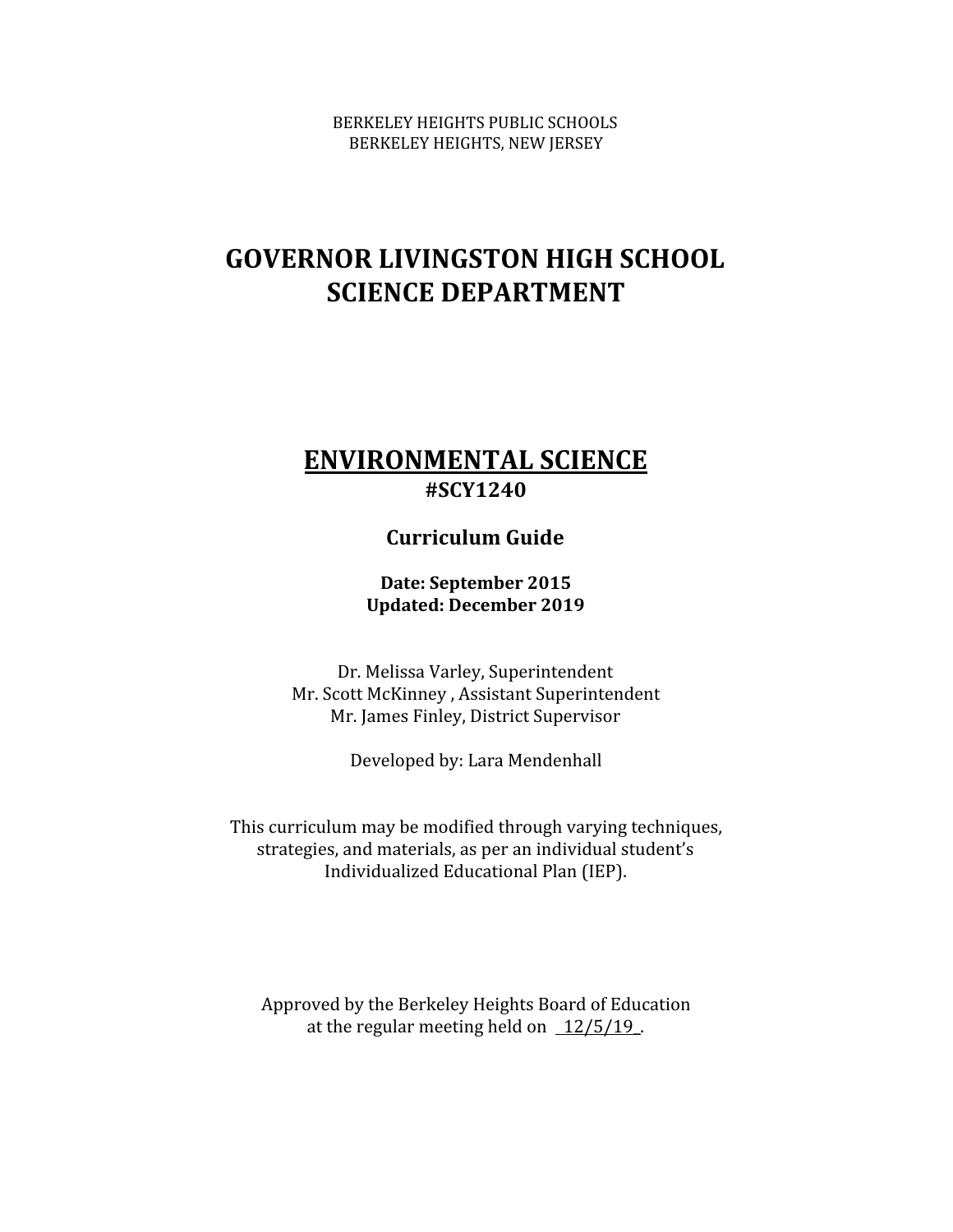BERKELEY HEIGHTS PUBLIC SCHOOLS BERKELEY HEIGHTS, NEW JERSEY

# **GOVERNOR LIVINGSTON HIGH SCHOOL SCIENCE DEPARTMENT**

# **ENVIRONMENTAL SCIENCE #SCY1240**

# **Curriculum Guide**

**Date: September 2015 Updated: December 2019**

Dr. Melissa Varley, Superintendent Mr. Scott McKinney , Assistant Superintendent Mr. James Finley, District Supervisor

Developed by: Lara Mendenhall

This curriculum may be modified through varying techniques, strategies, and materials, as per an individual student's Individualized Educational Plan (IEP).

Approved by the Berkeley Heights Board of Education at the regular meeting held on  $12/5/19$ .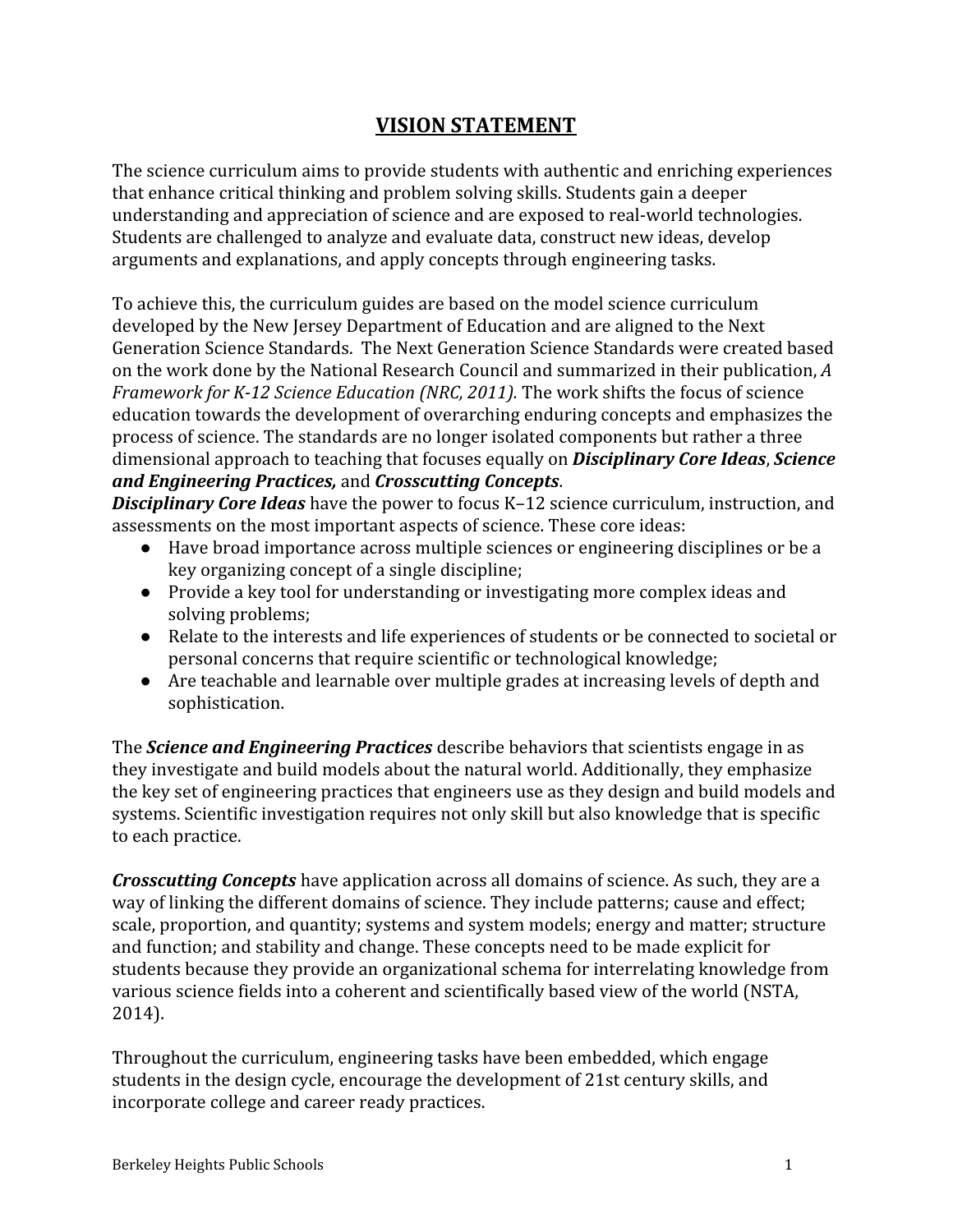# **VISION STATEMENT**

The science curriculum aims to provide students with authentic and enriching experiences that enhance critical thinking and problem solving skills. Students gain a deeper understanding and appreciation of science and are exposed to real-world technologies. Students are challenged to analyze and evaluate data, construct new ideas, develop arguments and explanations, and apply concepts through engineering tasks.

To achieve this, the curriculum guides are based on the model science curriculum developed by the New Jersey Department of Education and are aligned to the Next Generation Science Standards. The Next Generation Science Standards were created based on the work done by the National Research Council and summarized in their publication, *A Framework for K-12 Science Education (NRC, 2011).* The work shifts the focus of science education towards the development of overarching enduring concepts and emphasizes the process of science. The standards are no longer isolated components but rather a three dimensional approach to teaching that focuses equally on *Disciplinary Core Ideas*, *Science and Engineering Practices,* and *Crosscutting Concepts*.

*Disciplinary Core Ideas* have the power to focus K–12 science curriculum, instruction, and assessments on the most important aspects of science. These core ideas:

- Have broad importance across multiple sciences or engineering disciplines or be a key organizing concept of a single discipline;
- Provide a key tool for understanding or investigating more complex ideas and solving problems;
- Relate to the interests and life experiences of students or be connected to societal or personal concerns that require scientific or technological knowledge;
- Are teachable and learnable over multiple grades at increasing levels of depth and sophistication.

The *Science and Engineering Practices* describe behaviors that scientists engage in as they investigate and build models about the natural world. Additionally, they emphasize the key set of engineering practices that engineers use as they design and build models and systems. Scientific investigation requires not only skill but also knowledge that is specific to each practice.

*Crosscutting Concepts* have application across all domains of science. As such, they are a way of linking the different domains of science. They include patterns; cause and effect; scale, proportion, and quantity; systems and system models; energy and matter; structure and function; and stability and change. These concepts need to be made explicit for students because they provide an organizational schema for interrelating knowledge from various science fields into a coherent and scientifically based view of the world (NSTA, 2014).

Throughout the curriculum, engineering tasks have been embedded, which engage students in the design cycle, encourage the development of 21st century skills, and incorporate college and career ready practices.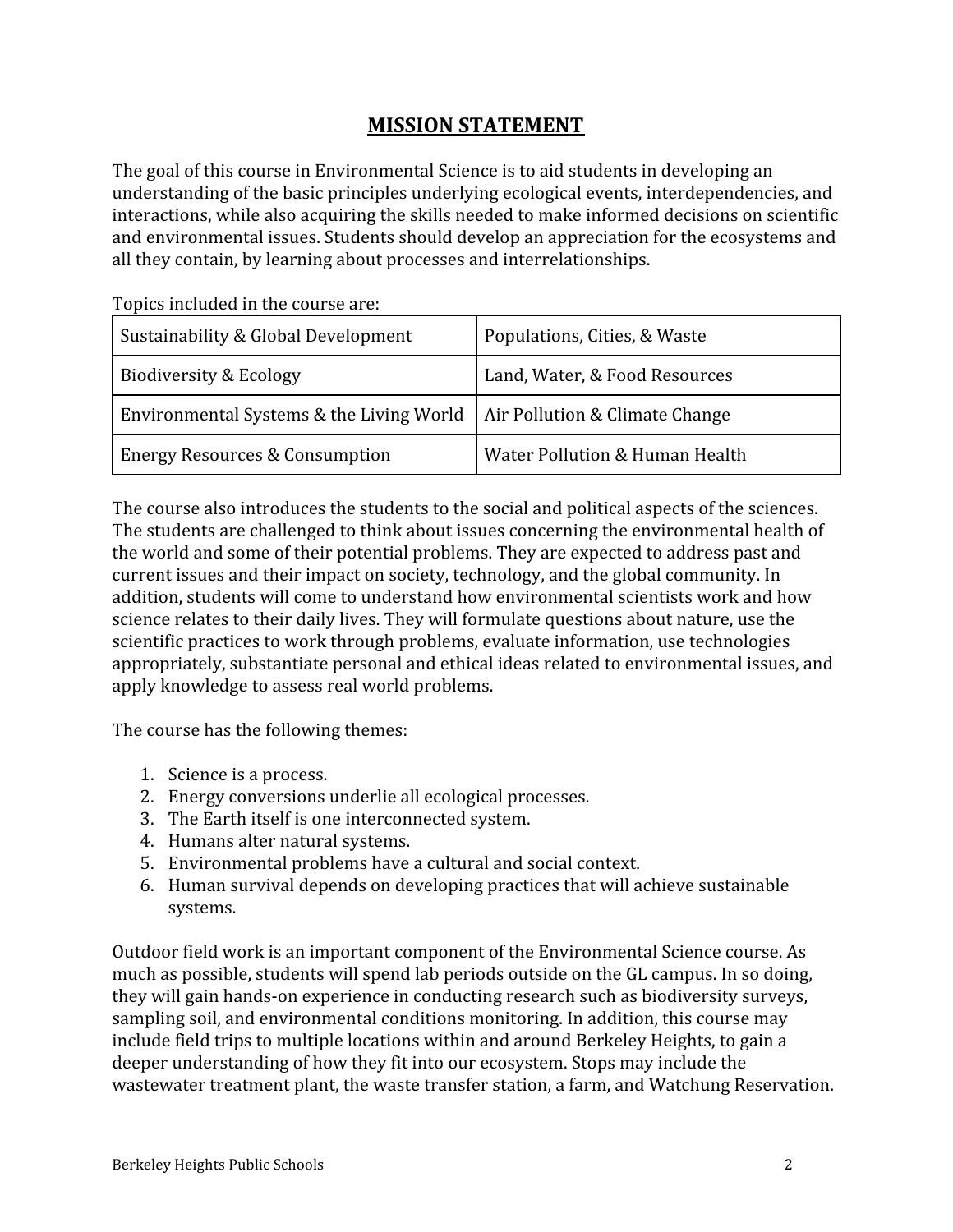# **MISSION STATEMENT**

The goal of this course in Environmental Science is to aid students in developing an understanding of the basic principles underlying ecological events, interdependencies, and interactions, while also acquiring the skills needed to make informed decisions on scientific and environmental issues. Students should develop an appreciation for the ecosystems and all they contain, by learning about processes and interrelationships.

| Sustainability & Global Development      | Populations, Cities, & Waste   |
|------------------------------------------|--------------------------------|
| Biodiversity & Ecology                   | Land, Water, & Food Resources  |
| Environmental Systems & the Living World | Air Pollution & Climate Change |
| Energy Resources & Consumption           | Water Pollution & Human Health |

Topics included in the course are:

The course also introduces the students to the social and political aspects of the sciences. The students are challenged to think about issues concerning the environmental health of the world and some of their potential problems. They are expected to address past and current issues and their impact on society, technology, and the global community. In addition, students will come to understand how environmental scientists work and how science relates to their daily lives. They will formulate questions about nature, use the scientific practices to work through problems, evaluate information, use technologies appropriately, substantiate personal and ethical ideas related to environmental issues, and apply knowledge to assess real world problems.

The course has the following themes:

- 1. Science is a process.
- 2. Energy conversions underlie all ecological processes.
- 3. The Earth itself is one interconnected system.
- 4. Humans alter natural systems.
- 5. Environmental problems have a cultural and social context.
- 6. Human survival depends on developing practices that will achieve sustainable systems.

Outdoor field work is an important component of the Environmental Science course. As much as possible, students will spend lab periods outside on the GL campus. In so doing, they will gain hands-on experience in conducting research such as biodiversity surveys, sampling soil, and environmental conditions monitoring. In addition, this course may include field trips to multiple locations within and around Berkeley Heights, to gain a deeper understanding of how they fit into our ecosystem. Stops may include the wastewater treatment plant, the waste transfer station, a farm, and Watchung Reservation.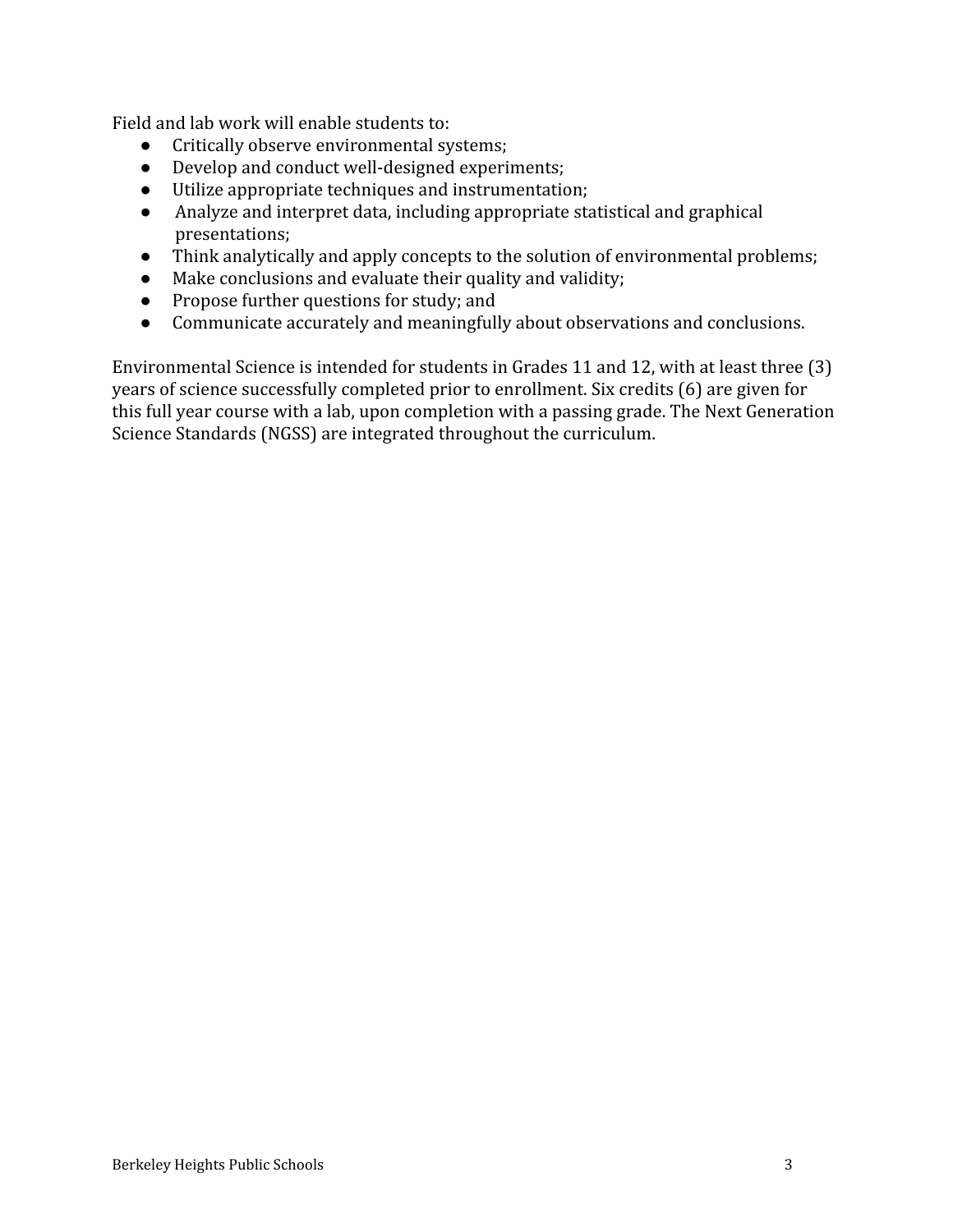Field and lab work will enable students to:

- Critically observe environmental systems;
- Develop and conduct well-designed experiments;
- Utilize appropriate techniques and instrumentation;
- Analyze and interpret data, including appropriate statistical and graphical presentations;
- Think analytically and apply concepts to the solution of environmental problems;
- Make conclusions and evaluate their quality and validity;
- Propose further questions for study; and
- Communicate accurately and meaningfully about observations and conclusions.

Environmental Science is intended for students in Grades 11 and 12, with at least three (3) years of science successfully completed prior to enrollment. Six credits (6) are given for this full year course with a lab, upon completion with a passing grade. The Next Generation Science Standards (NGSS) are integrated throughout the curriculum.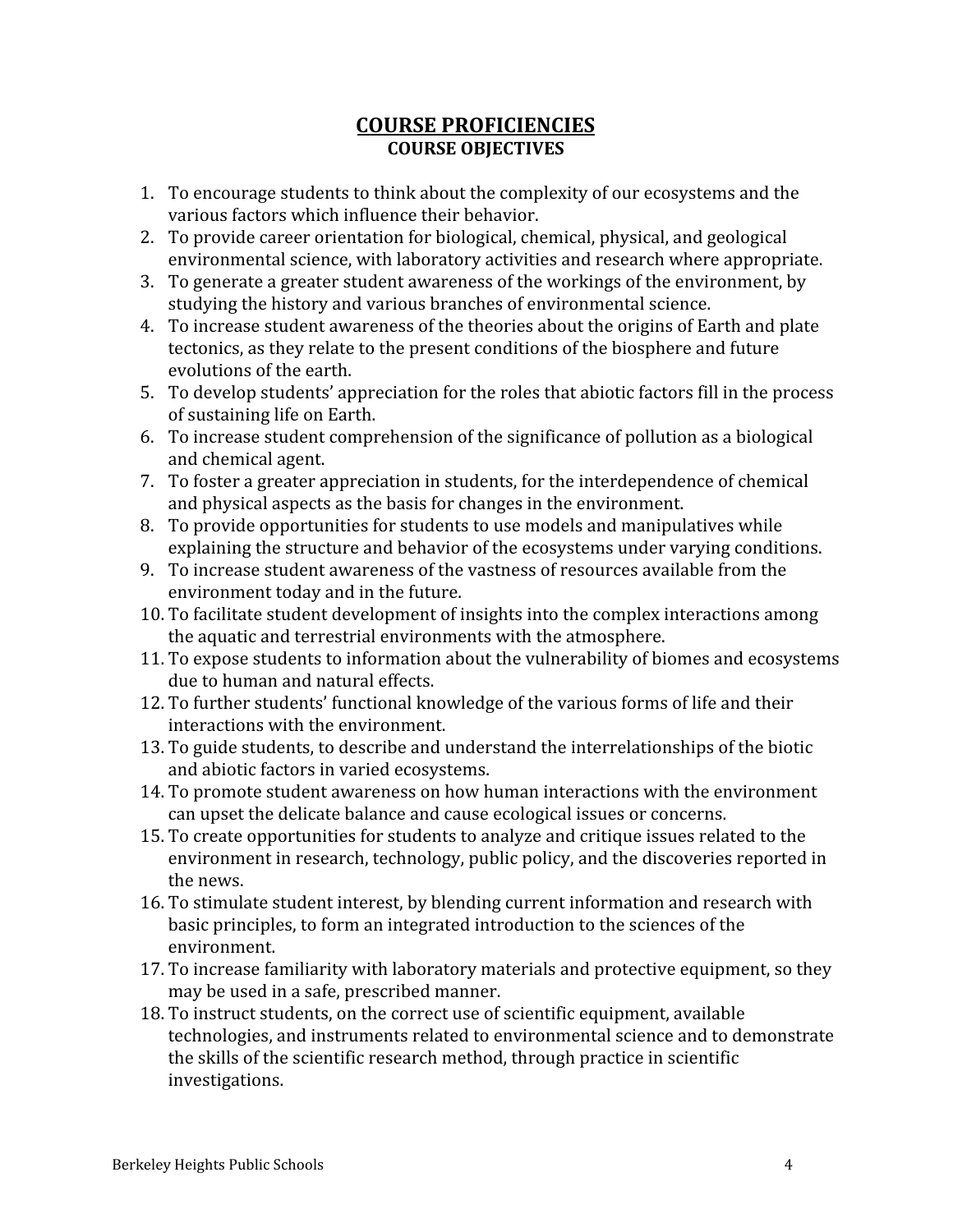## **COURSE PROFICIENCIES COURSE OBJECTIVES**

- 1. To encourage students to think about the complexity of our ecosystems and the various factors which influence their behavior.
- 2. To provide career orientation for biological, chemical, physical, and geological environmental science, with laboratory activities and research where appropriate.
- 3. To generate a greater student awareness of the workings of the environment, by studying the history and various branches of environmental science.
- 4. To increase student awareness of the theories about the origins of Earth and plate tectonics, as they relate to the present conditions of the biosphere and future evolutions of the earth.
- 5. To develop students' appreciation for the roles that abiotic factors fill in the process of sustaining life on Earth.
- 6. To increase student comprehension of the significance of pollution as a biological and chemical agent.
- 7. To foster a greater appreciation in students, for the interdependence of chemical and physical aspects as the basis for changes in the environment.
- 8. To provide opportunities for students to use models and manipulatives while explaining the structure and behavior of the ecosystems under varying conditions.
- 9. To increase student awareness of the vastness of resources available from the environment today and in the future.
- 10. To facilitate student development of insights into the complex interactions among the aquatic and terrestrial environments with the atmosphere.
- 11. To expose students to information about the vulnerability of biomes and ecosystems due to human and natural effects.
- 12. To further students' functional knowledge of the various forms of life and their interactions with the environment.
- 13. To guide students, to describe and understand the interrelationships of the biotic and abiotic factors in varied ecosystems.
- 14. To promote student awareness on how human interactions with the environment can upset the delicate balance and cause ecological issues or concerns.
- 15. To create opportunities for students to analyze and critique issues related to the environment in research, technology, public policy, and the discoveries reported in the news.
- 16. To stimulate student interest, by blending current information and research with basic principles, to form an integrated introduction to the sciences of the environment.
- 17. To increase familiarity with laboratory materials and protective equipment, so they may be used in a safe, prescribed manner.
- 18. To instruct students, on the correct use of scientific equipment, available technologies, and instruments related to environmental science and to demonstrate the skills of the scientific research method, through practice in scientific investigations.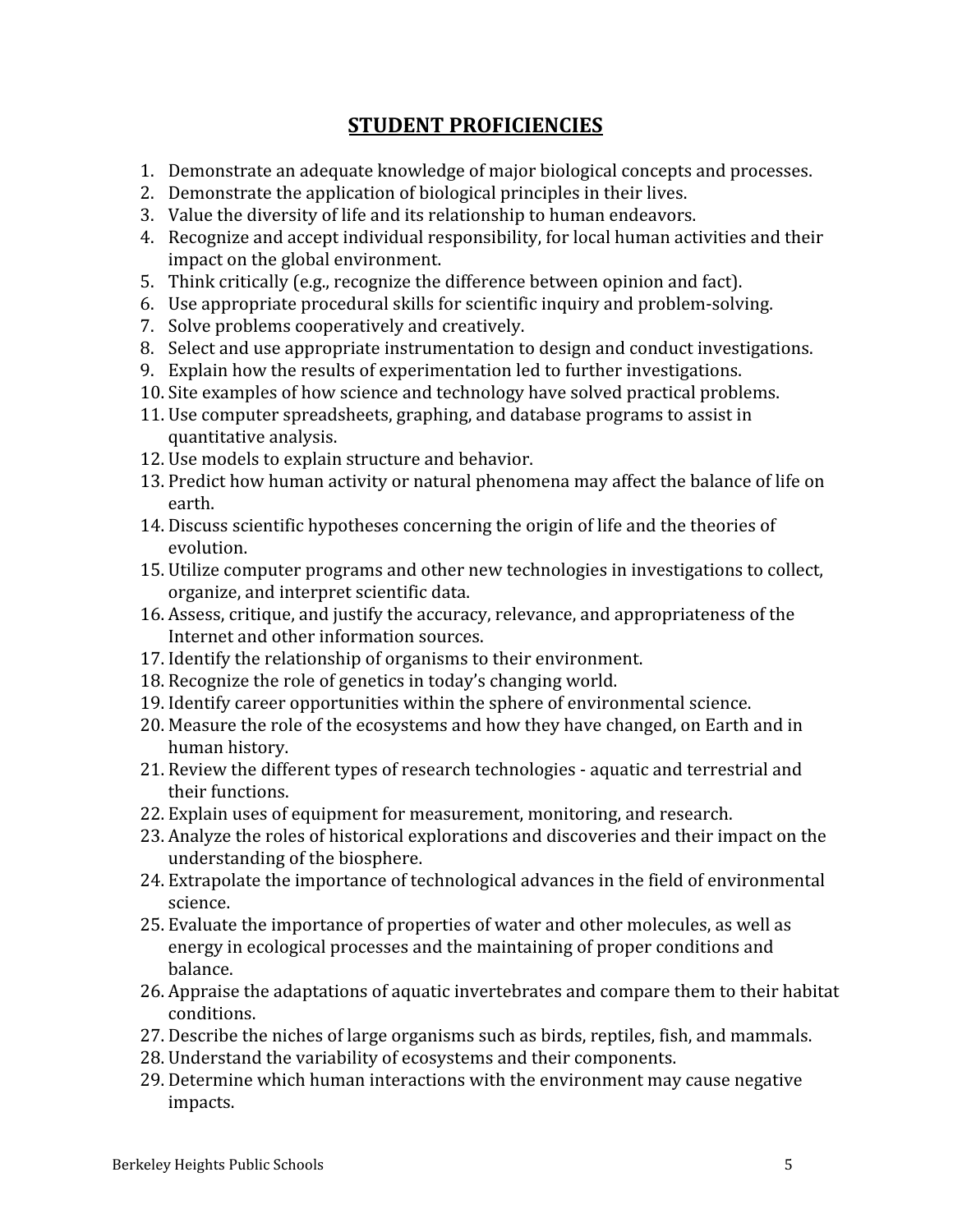# **STUDENT PROFICIENCIES**

- 1. Demonstrate an adequate knowledge of major biological concepts and processes.
- 2. Demonstrate the application of biological principles in their lives.
- 3. Value the diversity of life and its relationship to human endeavors.
- 4. Recognize and accept individual responsibility, for local human activities and their impact on the global environment.
- 5. Think critically (e.g., recognize the difference between opinion and fact).
- 6. Use appropriate procedural skills for scientific inquiry and problem-solving.
- 7. Solve problems cooperatively and creatively.
- 8. Select and use appropriate instrumentation to design and conduct investigations.
- 9. Explain how the results of experimentation led to further investigations.
- 10. Site examples of how science and technology have solved practical problems.
- 11. Use computer spreadsheets, graphing, and database programs to assist in quantitative analysis.
- 12. Use models to explain structure and behavior.
- 13. Predict how human activity or natural phenomena may affect the balance of life on earth.
- 14. Discuss scientific hypotheses concerning the origin of life and the theories of evolution.
- 15. Utilize computer programs and other new technologies in investigations to collect, organize, and interpret scientific data.
- 16. Assess, critique, and justify the accuracy, relevance, and appropriateness of the Internet and other information sources.
- 17. Identify the relationship of organisms to their environment.
- 18. Recognize the role of genetics in today's changing world.
- 19. Identify career opportunities within the sphere of environmental science.
- 20. Measure the role of the ecosystems and how they have changed, on Earth and in human history.
- 21. Review the different types of research technologies aquatic and terrestrial and their functions.
- 22. Explain uses of equipment for measurement, monitoring, and research.
- 23. Analyze the roles of historical explorations and discoveries and their impact on the understanding of the biosphere.
- 24. Extrapolate the importance of technological advances in the field of environmental science.
- 25. Evaluate the importance of properties of water and other molecules, as well as energy in ecological processes and the maintaining of proper conditions and balance.
- 26. Appraise the adaptations of aquatic invertebrates and compare them to their habitat conditions.
- 27. Describe the niches of large organisms such as birds, reptiles, fish, and mammals.
- 28. Understand the variability of ecosystems and their components.
- 29. Determine which human interactions with the environment may cause negative impacts.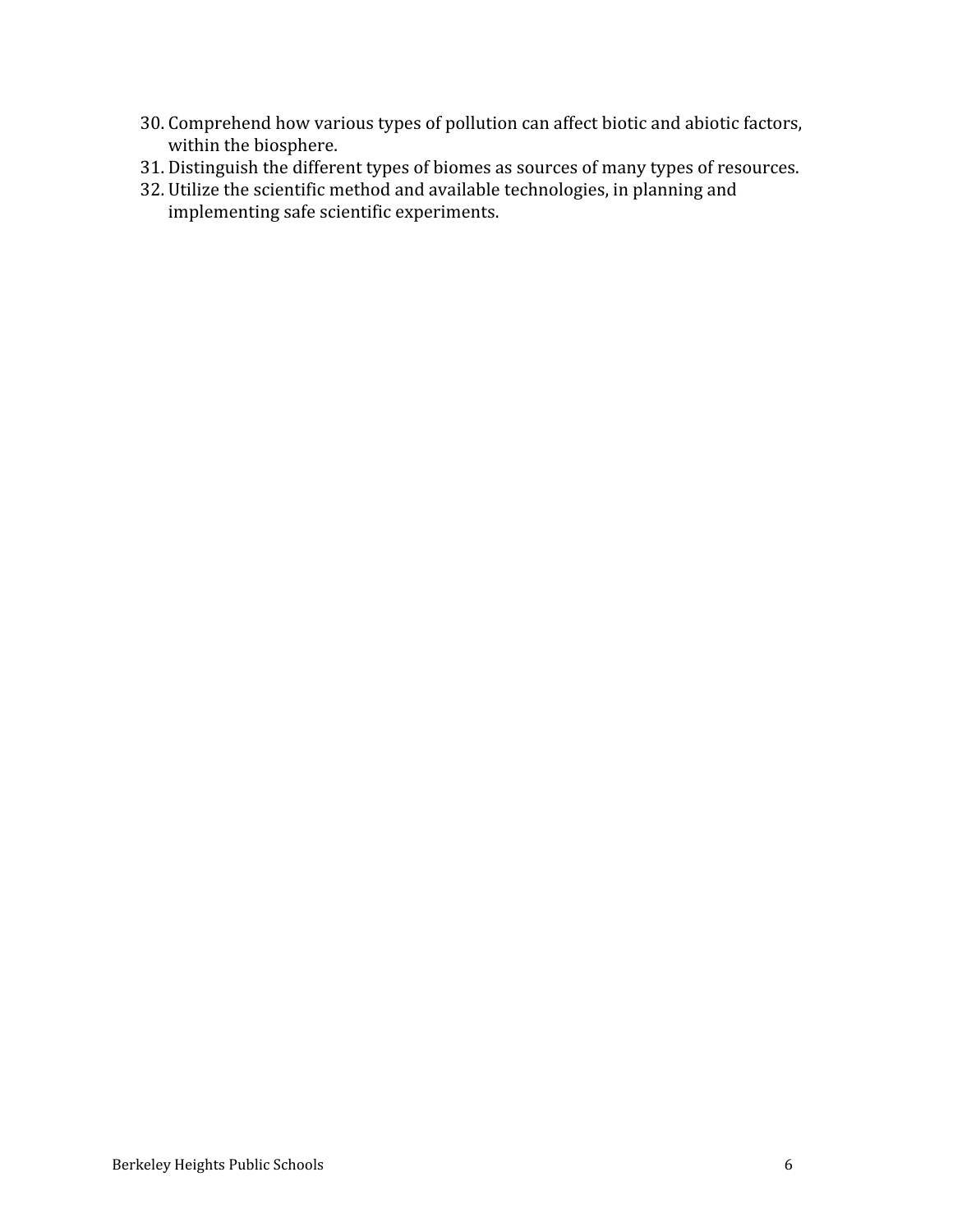- 30. Comprehend how various types of pollution can affect biotic and abiotic factors, within the biosphere.
- 31. Distinguish the different types of biomes as sources of many types of resources.
- 32. Utilize the scientific method and available technologies, in planning and implementing safe scientific experiments.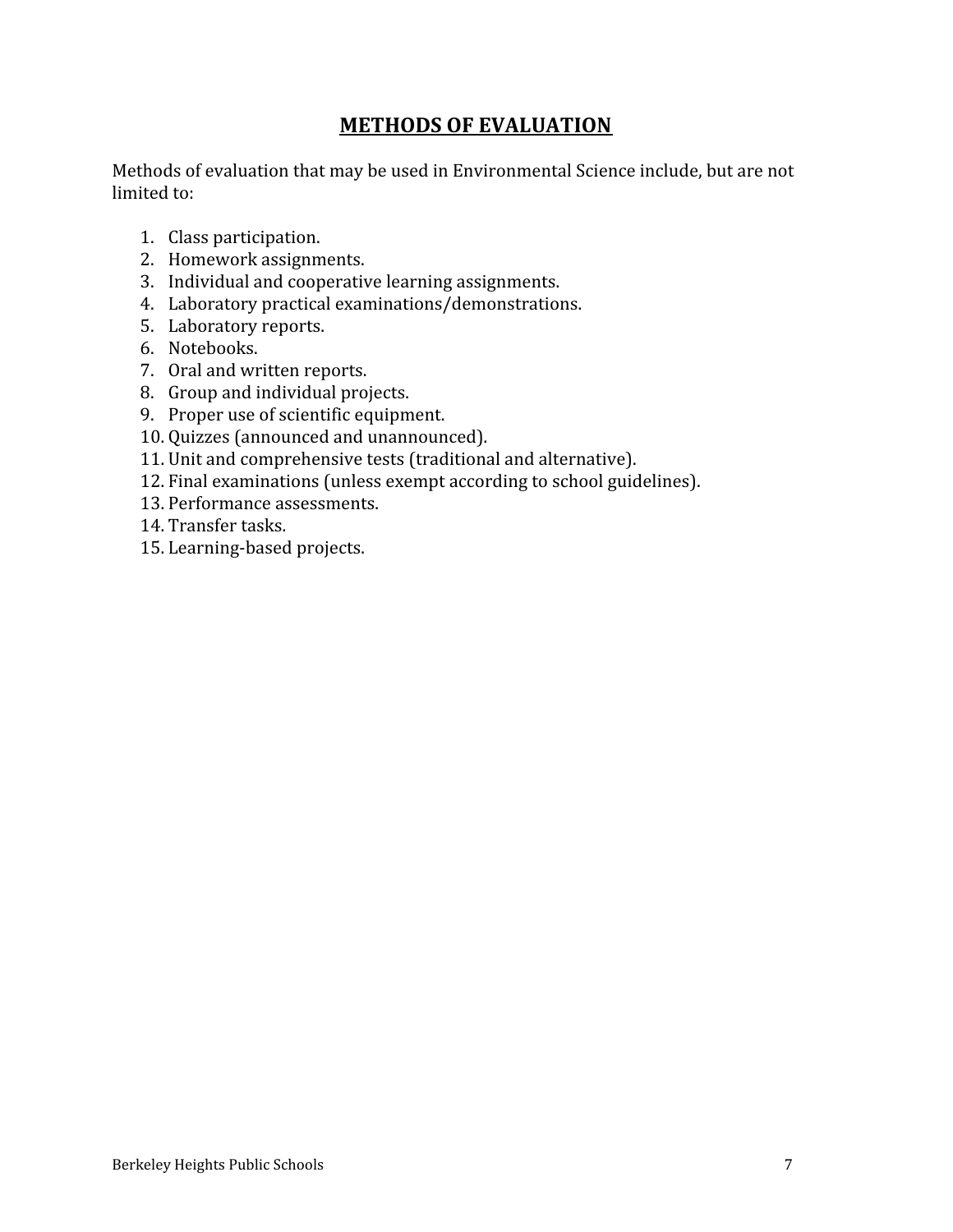# **METHODS OF EVALUATION**

Methods of evaluation that may be used in Environmental Science include, but are not limited to:

- 1. Class participation.
- 2. Homework assignments.
- 3. Individual and cooperative learning assignments.
- 4. Laboratory practical examinations/demonstrations.
- 5. Laboratory reports.
- 6. Notebooks.
- 7. Oral and written reports.
- 8. Group and individual projects.
- 9. Proper use of scientific equipment.
- 10. Quizzes (announced and unannounced).
- 11. Unit and comprehensive tests (traditional and alternative).
- 12. Final examinations (unless exempt according to school guidelines).
- 13. Performance assessments.
- 14. Transfer tasks.
- 15. Learning-based projects.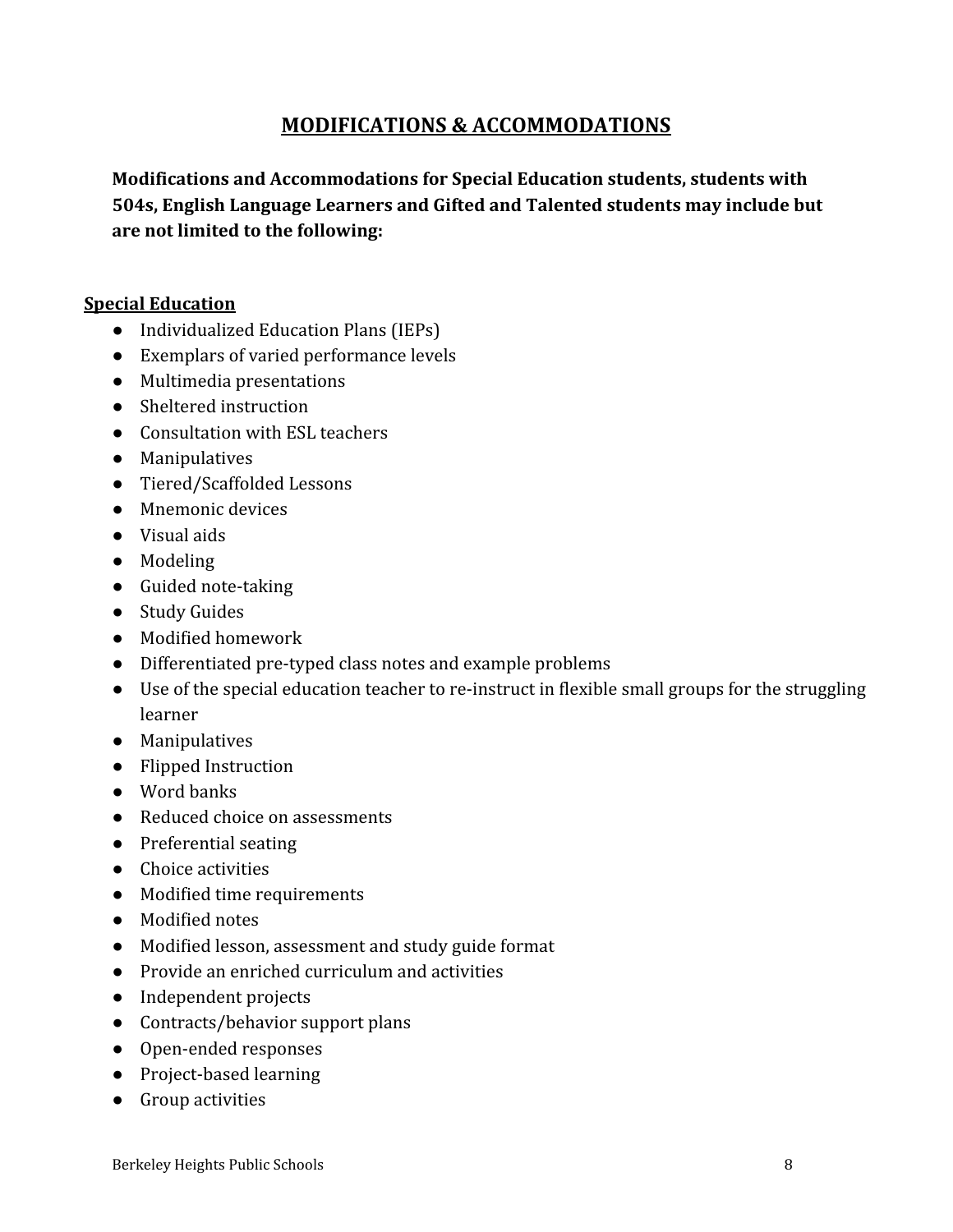# **MODIFICATIONS & ACCOMMODATIONS**

**Modifications and Accommodations for Special Education students, students with 504s, English Language Learners and Gifted and Talented students may include but are not limited to the following:**

#### **Special Education**

- Individualized Education Plans (IEPs)
- Exemplars of varied performance levels
- Multimedia presentations
- Sheltered instruction
- Consultation with ESL teachers
- Manipulatives
- Tiered/Scaffolded Lessons
- Mnemonic devices
- Visual aids
- Modeling
- Guided note-taking
- Study Guides
- Modified homework
- Differentiated pre-typed class notes and example problems
- Use of the special education teacher to re-instruct in flexible small groups for the struggling learner
- Manipulatives
- Flipped Instruction
- Word banks
- Reduced choice on assessments
- Preferential seating
- Choice activities
- Modified time requirements
- Modified notes
- Modified lesson, assessment and study guide format
- Provide an enriched curriculum and activities
- Independent projects
- Contracts/behavior support plans
- Open-ended responses
- Project-based learning
- Group activities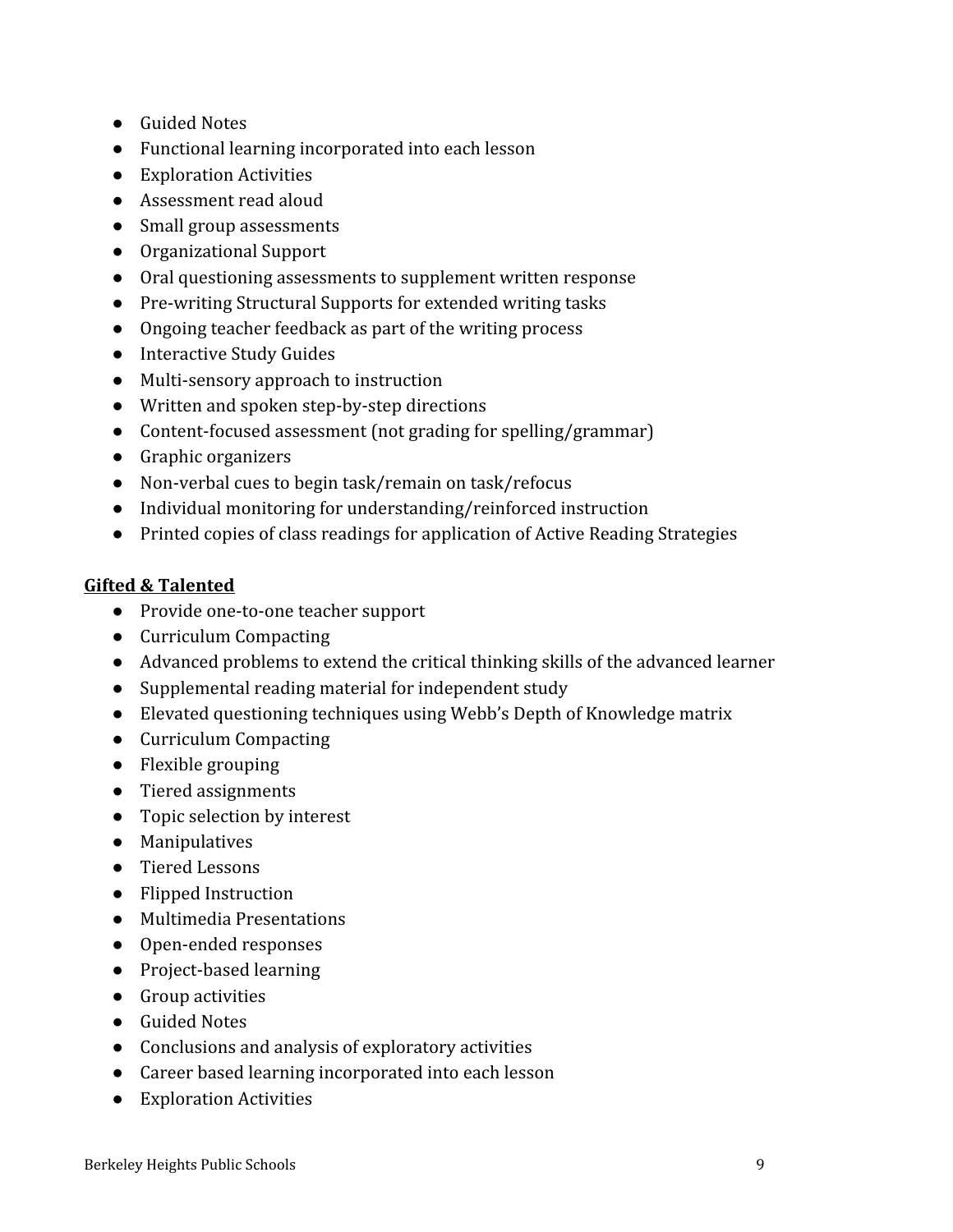- Guided Notes
- Functional learning incorporated into each lesson
- Exploration Activities
- Assessment read aloud
- Small group assessments
- Organizational Support
- Oral questioning assessments to supplement written response
- Pre-writing Structural Supports for extended writing tasks
- Ongoing teacher feedback as part of the writing process
- Interactive Study Guides
- Multi-sensory approach to instruction
- Written and spoken step-by-step directions
- Content-focused assessment (not grading for spelling/grammar)
- Graphic organizers
- Non-verbal cues to begin task/remain on task/refocus
- Individual monitoring for understanding/reinforced instruction
- Printed copies of class readings for application of Active Reading Strategies

# **Gifted & Talented**

- Provide one-to-one teacher support
- Curriculum Compacting
- Advanced problems to extend the critical thinking skills of the advanced learner
- Supplemental reading material for independent study
- Elevated questioning techniques using Webb's Depth of Knowledge matrix
- Curriculum Compacting
- Flexible grouping
- Tiered assignments
- Topic selection by interest
- Manipulatives
- Tiered Lessons
- Flipped Instruction
- Multimedia Presentations
- Open-ended responses
- Project-based learning
- Group activities
- Guided Notes
- Conclusions and analysis of exploratory activities
- Career based learning incorporated into each lesson
- Exploration Activities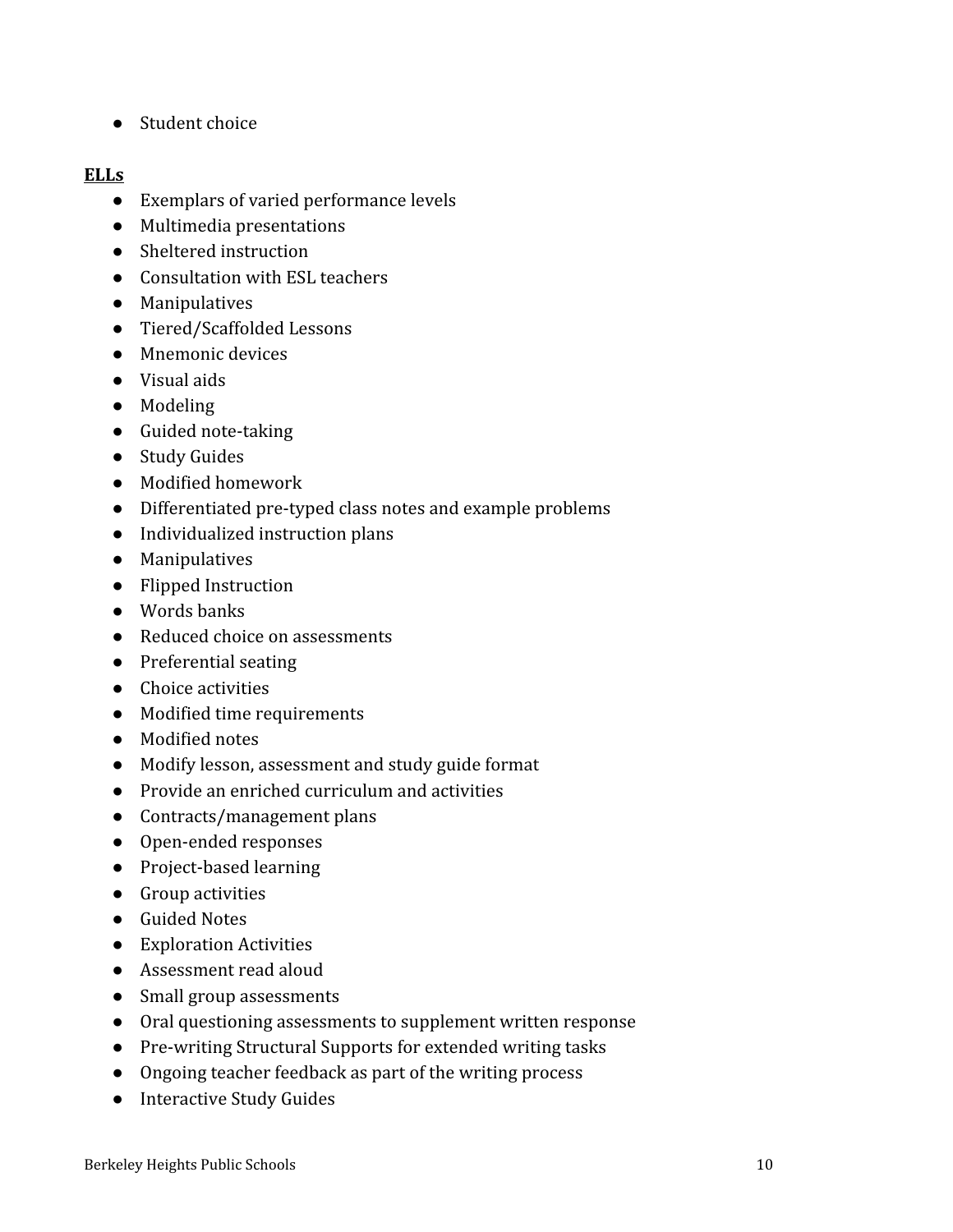● Student choice

### **ELLs**

- Exemplars of varied performance levels
- Multimedia presentations
- Sheltered instruction
- Consultation with ESL teachers
- Manipulatives
- Tiered/Scaffolded Lessons
- Mnemonic devices
- Visual aids
- Modeling
- Guided note-taking
- Study Guides
- Modified homework
- Differentiated pre-typed class notes and example problems
- Individualized instruction plans
- Manipulatives
- Flipped Instruction
- Words banks
- Reduced choice on assessments
- Preferential seating
- Choice activities
- Modified time requirements
- Modified notes
- Modify lesson, assessment and study guide format
- Provide an enriched curriculum and activities
- Contracts/management plans
- Open-ended responses
- Project-based learning
- Group activities
- Guided Notes
- Exploration Activities
- Assessment read aloud
- Small group assessments
- Oral questioning assessments to supplement written response
- Pre-writing Structural Supports for extended writing tasks
- Ongoing teacher feedback as part of the writing process
- Interactive Study Guides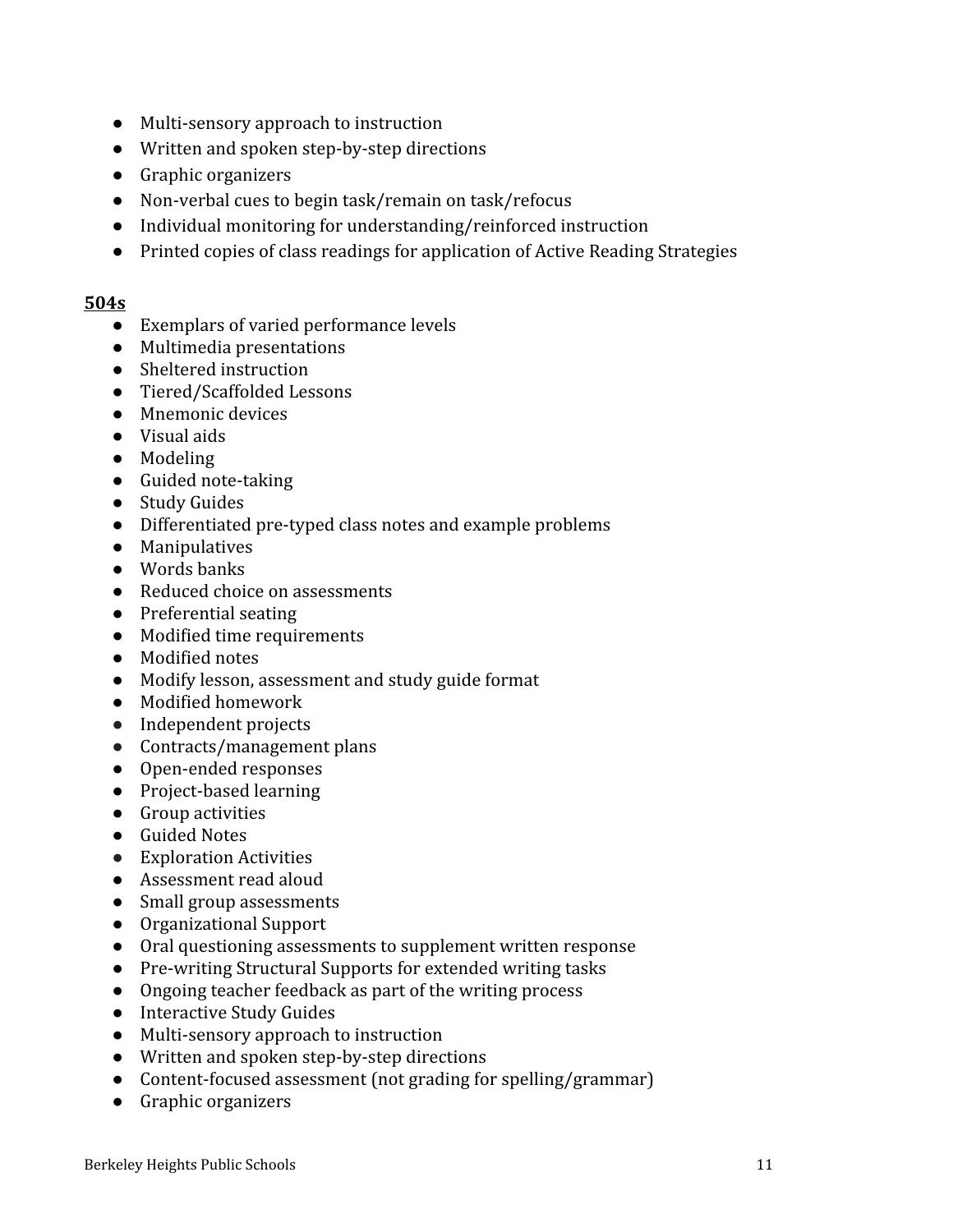- Multi-sensory approach to instruction
- Written and spoken step-by-step directions
- Graphic organizers
- Non-verbal cues to begin task/remain on task/refocus
- Individual monitoring for understanding/reinforced instruction
- Printed copies of class readings for application of Active Reading Strategies

#### **504s**

- Exemplars of varied performance levels
- Multimedia presentations
- Sheltered instruction
- Tiered/Scaffolded Lessons
- Mnemonic devices
- Visual aids
- Modeling
- Guided note-taking
- Study Guides
- Differentiated pre-typed class notes and example problems
- Manipulatives
- Words banks
- Reduced choice on assessments
- Preferential seating
- Modified time requirements
- Modified notes
- Modify lesson, assessment and study guide format
- Modified homework
- Independent projects
- Contracts/management plans
- Open-ended responses
- Project-based learning
- Group activities
- Guided Notes
- Exploration Activities
- Assessment read aloud
- Small group assessments
- Organizational Support
- Oral questioning assessments to supplement written response
- Pre-writing Structural Supports for extended writing tasks
- Ongoing teacher feedback as part of the writing process
- Interactive Study Guides
- Multi-sensory approach to instruction
- Written and spoken step-by-step directions
- Content-focused assessment (not grading for spelling/grammar)
- Graphic organizers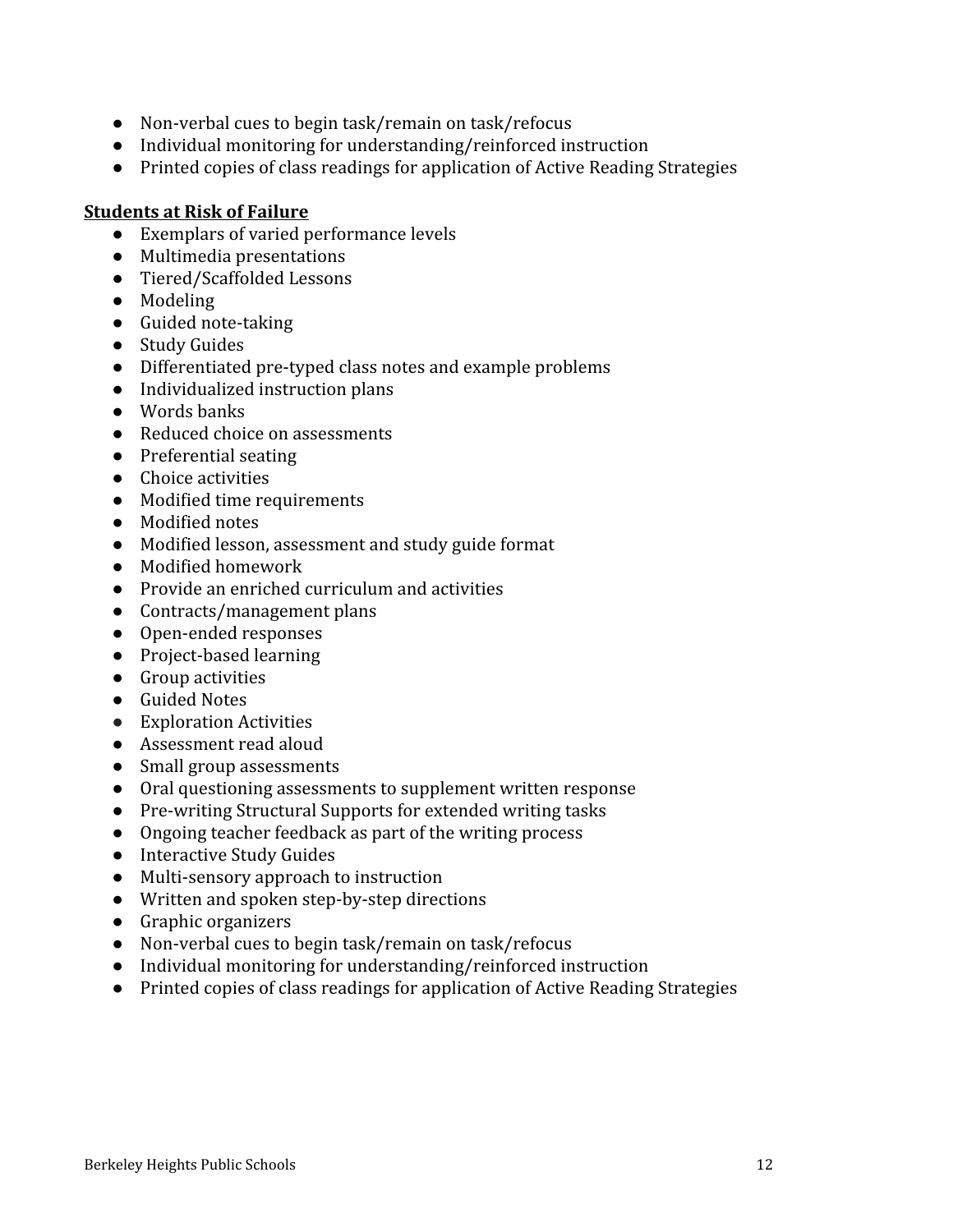- Non-verbal cues to begin task/remain on task/refocus
- Individual monitoring for understanding/reinforced instruction
- Printed copies of class readings for application of Active Reading Strategies

#### **Students at Risk of Failure**

- Exemplars of varied performance levels
- Multimedia presentations
- Tiered/Scaffolded Lessons
- Modeling
- Guided note-taking
- Study Guides
- Differentiated pre-typed class notes and example problems
- Individualized instruction plans
- Words banks
- Reduced choice on assessments
- Preferential seating
- Choice activities
- Modified time requirements
- Modified notes
- Modified lesson, assessment and study guide format
- Modified homework
- Provide an enriched curriculum and activities
- Contracts/management plans
- Open-ended responses
- Project-based learning
- Group activities
- Guided Notes
- Exploration Activities
- Assessment read aloud
- Small group assessments
- Oral questioning assessments to supplement written response
- Pre-writing Structural Supports for extended writing tasks
- Ongoing teacher feedback as part of the writing process
- Interactive Study Guides
- Multi-sensory approach to instruction
- Written and spoken step-by-step directions
- Graphic organizers
- Non-verbal cues to begin task/remain on task/refocus
- Individual monitoring for understanding/reinforced instruction
- Printed copies of class readings for application of Active Reading Strategies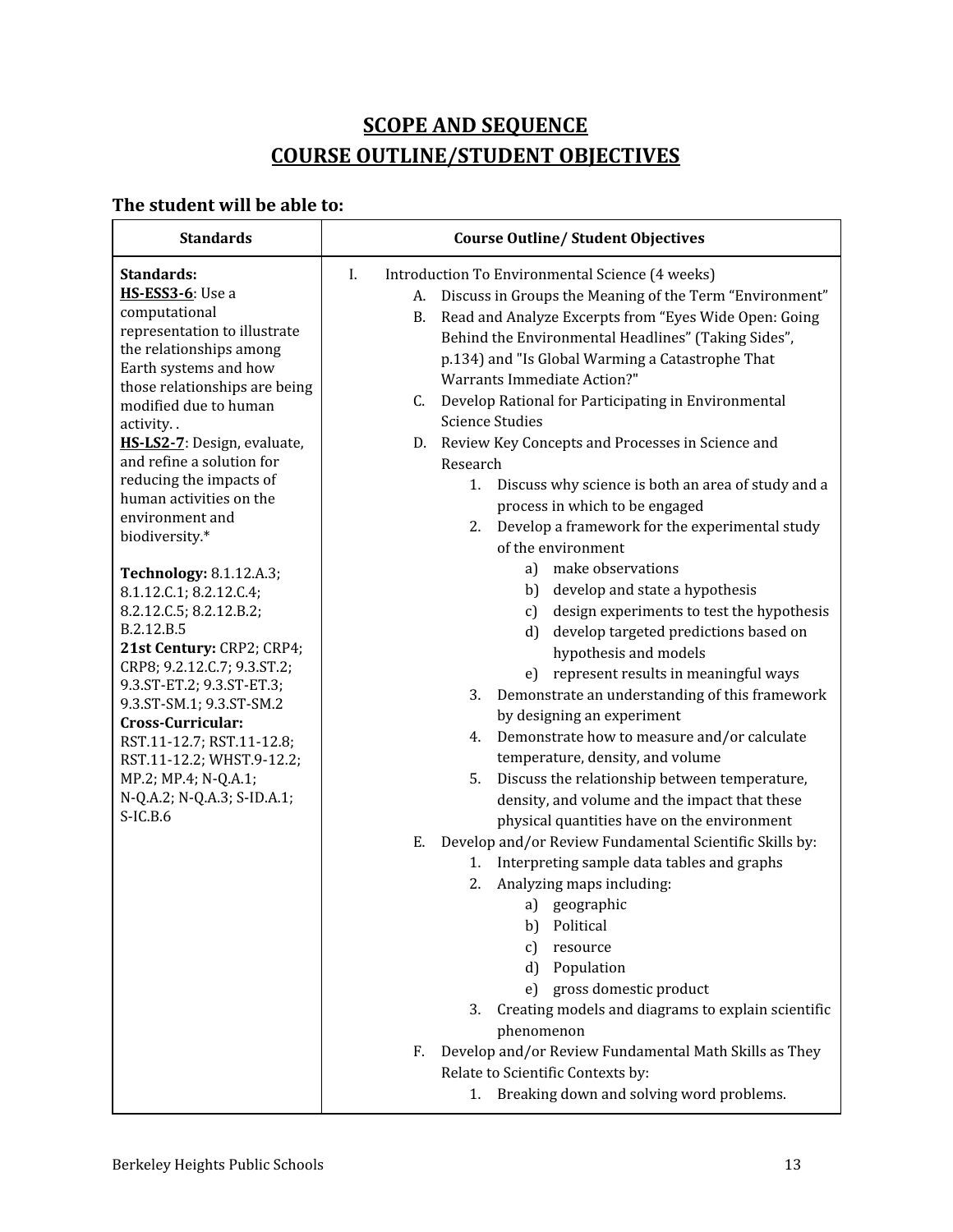# **SCOPE AND SEQUENCE COURSE OUTLINE/STUDENT OBJECTIVES**

# **The student will be able to:**

| <b>Standards</b>                                                                                                                                                                                                                                                                                                                                                                                                                                                                                                                                                                                                                                                                                                                                         | <b>Course Outline/ Student Objectives</b>                                                                                                                                                                                                                                                                                                                                                                                                                                                                                                                                                                                                                                                                                                                                                                                                                                                                                                                                                                                                                                                                                                                                                                                                                                                                                                                                                                                                                                                                                                                                                                                                                                                                                          |  |
|----------------------------------------------------------------------------------------------------------------------------------------------------------------------------------------------------------------------------------------------------------------------------------------------------------------------------------------------------------------------------------------------------------------------------------------------------------------------------------------------------------------------------------------------------------------------------------------------------------------------------------------------------------------------------------------------------------------------------------------------------------|------------------------------------------------------------------------------------------------------------------------------------------------------------------------------------------------------------------------------------------------------------------------------------------------------------------------------------------------------------------------------------------------------------------------------------------------------------------------------------------------------------------------------------------------------------------------------------------------------------------------------------------------------------------------------------------------------------------------------------------------------------------------------------------------------------------------------------------------------------------------------------------------------------------------------------------------------------------------------------------------------------------------------------------------------------------------------------------------------------------------------------------------------------------------------------------------------------------------------------------------------------------------------------------------------------------------------------------------------------------------------------------------------------------------------------------------------------------------------------------------------------------------------------------------------------------------------------------------------------------------------------------------------------------------------------------------------------------------------------|--|
| Standards:<br><b>HS-ESS3-6</b> : Use a<br>computational<br>representation to illustrate<br>the relationships among<br>Earth systems and how<br>those relationships are being<br>modified due to human<br>activity<br>HS-LS2-7: Design, evaluate,<br>and refine a solution for<br>reducing the impacts of<br>human activities on the<br>environment and<br>biodiversity.*<br><b>Technology: 8.1.12.A.3;</b><br>8.1.12.C.1; 8.2.12.C.4;<br>8.2.12.C.5; 8.2.12.B.2;<br>B.2.12.B.5<br>21st Century: CRP2; CRP4;<br>CRP8; 9.2.12.C.7; 9.3.ST.2;<br>9.3.ST-ET.2; 9.3.ST-ET.3;<br>9.3.ST-SM.1; 9.3.ST-SM.2<br>Cross-Curricular:<br>RST.11-12.7; RST.11-12.8;<br>RST.11-12.2; WHST.9-12.2;<br>MP.2; MP.4; N-Q.A.1;<br>N-Q.A.2; N-Q.A.3; S-ID.A.1;<br>$S$ -IC.B.6 | Introduction To Environmental Science (4 weeks)<br>I.<br>A. Discuss in Groups the Meaning of the Term "Environment"<br>Read and Analyze Excerpts from "Eyes Wide Open: Going<br>B.<br>Behind the Environmental Headlines" (Taking Sides",<br>p.134) and "Is Global Warming a Catastrophe That<br><b>Warrants Immediate Action?"</b><br>Develop Rational for Participating in Environmental<br>C.<br><b>Science Studies</b><br>D. Review Key Concepts and Processes in Science and<br>Research<br>1. Discuss why science is both an area of study and a<br>process in which to be engaged<br>2. Develop a framework for the experimental study<br>of the environment<br>a) make observations<br>b) develop and state a hypothesis<br>c) design experiments to test the hypothesis<br>d) develop targeted predictions based on<br>hypothesis and models<br>e) represent results in meaningful ways<br>Demonstrate an understanding of this framework<br>3.<br>by designing an experiment<br>4. Demonstrate how to measure and/or calculate<br>temperature, density, and volume<br>Discuss the relationship between temperature,<br>5.<br>density, and volume and the impact that these<br>physical quantities have on the environment<br>Develop and/or Review Fundamental Scientific Skills by:<br>Е.<br>1. Interpreting sample data tables and graphs<br>Analyzing maps including:<br>2.<br>a) geographic<br>Political<br>b)<br>resource<br>c)<br>Population<br>d)<br>gross domestic product<br>e)<br>Creating models and diagrams to explain scientific<br>3.<br>phenomenon<br>Develop and/or Review Fundamental Math Skills as They<br>F.<br>Relate to Scientific Contexts by:<br>Breaking down and solving word problems.<br>1. |  |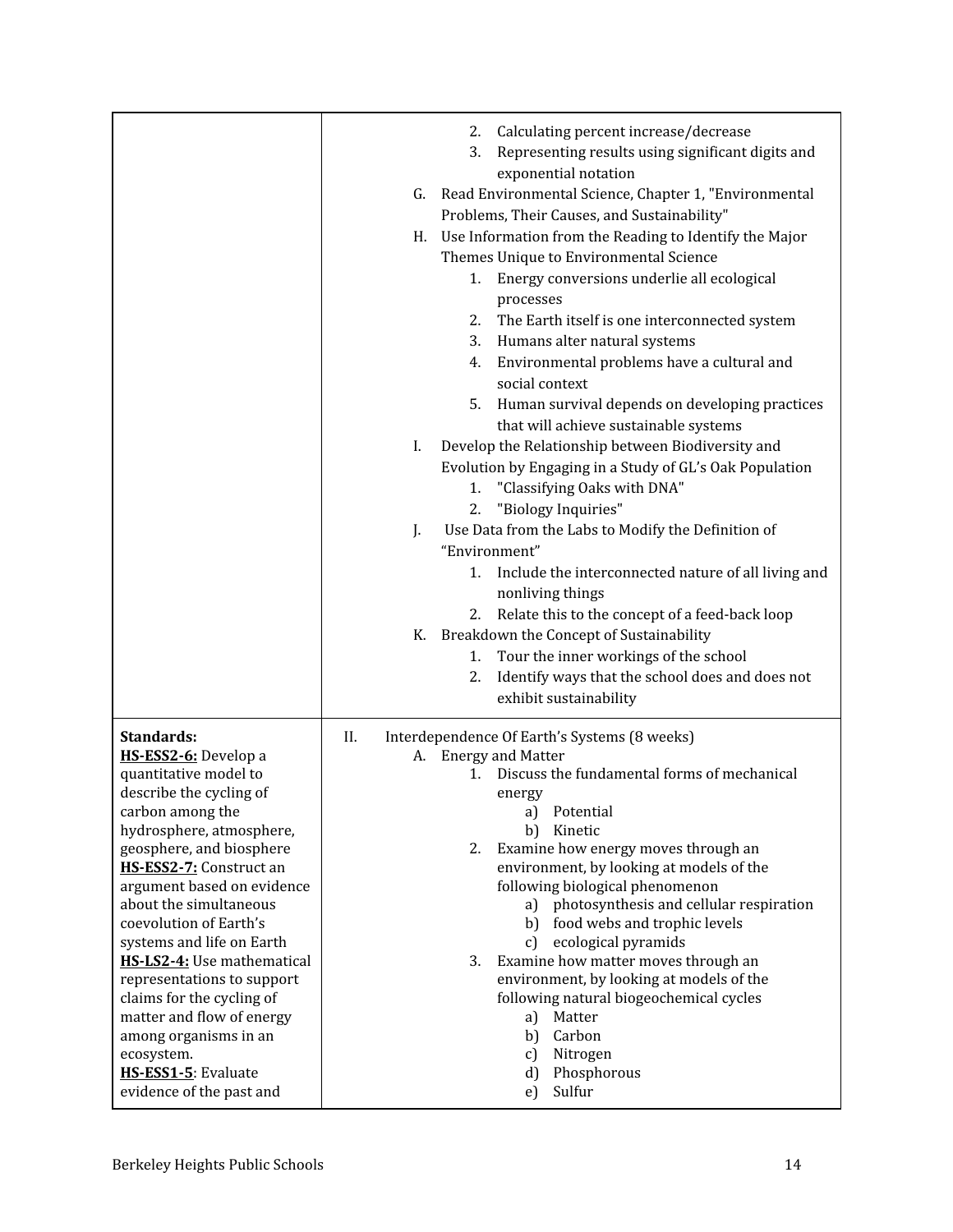|                                                         | Calculating percent increase/decrease<br>2.<br>Representing results using significant digits and<br>3.<br>exponential notation<br>Read Environmental Science, Chapter 1, "Environmental<br>G.<br>Problems, Their Causes, and Sustainability"<br>Use Information from the Reading to Identify the Major<br>Н.<br>Themes Unique to Environmental Science<br>Energy conversions underlie all ecological<br>1.<br>processes<br>The Earth itself is one interconnected system<br>2.<br>Humans alter natural systems<br>3.<br>Environmental problems have a cultural and<br>4.<br>social context<br>Human survival depends on developing practices<br>5.<br>that will achieve sustainable systems<br>Develop the Relationship between Biodiversity and<br>I.<br>Evolution by Engaging in a Study of GL's Oak Population<br>1. "Classifying Oaks with DNA"<br>"Biology Inquiries"<br>2.<br>Use Data from the Labs to Modify the Definition of<br>J.<br>"Environment"<br>Include the interconnected nature of all living and<br>1.<br>nonliving things<br>Relate this to the concept of a feed-back loop<br>2.<br>K. Breakdown the Concept of Sustainability<br>Tour the inner workings of the school<br>1.<br>Identify ways that the school does and does not<br>2.<br>exhibit sustainability |
|---------------------------------------------------------|----------------------------------------------------------------------------------------------------------------------------------------------------------------------------------------------------------------------------------------------------------------------------------------------------------------------------------------------------------------------------------------------------------------------------------------------------------------------------------------------------------------------------------------------------------------------------------------------------------------------------------------------------------------------------------------------------------------------------------------------------------------------------------------------------------------------------------------------------------------------------------------------------------------------------------------------------------------------------------------------------------------------------------------------------------------------------------------------------------------------------------------------------------------------------------------------------------------------------------------------------------------------------------------|
|                                                         |                                                                                                                                                                                                                                                                                                                                                                                                                                                                                                                                                                                                                                                                                                                                                                                                                                                                                                                                                                                                                                                                                                                                                                                                                                                                                        |
| Standards:<br>HS-ESS2-6: Develop a                      | Interdependence Of Earth's Systems (8 weeks)<br>II.<br>A. Energy and Matter                                                                                                                                                                                                                                                                                                                                                                                                                                                                                                                                                                                                                                                                                                                                                                                                                                                                                                                                                                                                                                                                                                                                                                                                            |
| quantitative model to                                   | Discuss the fundamental forms of mechanical<br>1.                                                                                                                                                                                                                                                                                                                                                                                                                                                                                                                                                                                                                                                                                                                                                                                                                                                                                                                                                                                                                                                                                                                                                                                                                                      |
| describe the cycling of                                 | energy                                                                                                                                                                                                                                                                                                                                                                                                                                                                                                                                                                                                                                                                                                                                                                                                                                                                                                                                                                                                                                                                                                                                                                                                                                                                                 |
| carbon among the                                        | Potential<br>a)                                                                                                                                                                                                                                                                                                                                                                                                                                                                                                                                                                                                                                                                                                                                                                                                                                                                                                                                                                                                                                                                                                                                                                                                                                                                        |
| hydrosphere, atmosphere,<br>geosphere, and biosphere    | b)<br>Kinetic<br>Examine how energy moves through an<br>2.                                                                                                                                                                                                                                                                                                                                                                                                                                                                                                                                                                                                                                                                                                                                                                                                                                                                                                                                                                                                                                                                                                                                                                                                                             |
| HS-ESS2-7: Construct an                                 | environment, by looking at models of the                                                                                                                                                                                                                                                                                                                                                                                                                                                                                                                                                                                                                                                                                                                                                                                                                                                                                                                                                                                                                                                                                                                                                                                                                                               |
| argument based on evidence                              | following biological phenomenon                                                                                                                                                                                                                                                                                                                                                                                                                                                                                                                                                                                                                                                                                                                                                                                                                                                                                                                                                                                                                                                                                                                                                                                                                                                        |
| about the simultaneous                                  | photosynthesis and cellular respiration<br>a)                                                                                                                                                                                                                                                                                                                                                                                                                                                                                                                                                                                                                                                                                                                                                                                                                                                                                                                                                                                                                                                                                                                                                                                                                                          |
| coevolution of Earth's                                  | food webs and trophic levels<br>b)                                                                                                                                                                                                                                                                                                                                                                                                                                                                                                                                                                                                                                                                                                                                                                                                                                                                                                                                                                                                                                                                                                                                                                                                                                                     |
| systems and life on Earth<br>HS-LS2-4: Use mathematical | ecological pyramids<br>C)<br>3.<br>Examine how matter moves through an                                                                                                                                                                                                                                                                                                                                                                                                                                                                                                                                                                                                                                                                                                                                                                                                                                                                                                                                                                                                                                                                                                                                                                                                                 |
| representations to support                              | environment, by looking at models of the                                                                                                                                                                                                                                                                                                                                                                                                                                                                                                                                                                                                                                                                                                                                                                                                                                                                                                                                                                                                                                                                                                                                                                                                                                               |
| claims for the cycling of                               | following natural biogeochemical cycles                                                                                                                                                                                                                                                                                                                                                                                                                                                                                                                                                                                                                                                                                                                                                                                                                                                                                                                                                                                                                                                                                                                                                                                                                                                |
| matter and flow of energy                               | Matter<br>a)                                                                                                                                                                                                                                                                                                                                                                                                                                                                                                                                                                                                                                                                                                                                                                                                                                                                                                                                                                                                                                                                                                                                                                                                                                                                           |
| among organisms in an                                   | Carbon<br>b)                                                                                                                                                                                                                                                                                                                                                                                                                                                                                                                                                                                                                                                                                                                                                                                                                                                                                                                                                                                                                                                                                                                                                                                                                                                                           |
| ecosystem.                                              | Nitrogen<br>c)                                                                                                                                                                                                                                                                                                                                                                                                                                                                                                                                                                                                                                                                                                                                                                                                                                                                                                                                                                                                                                                                                                                                                                                                                                                                         |
| HS-ESS1-5: Evaluate<br>evidence of the past and         | Phosphorous<br>d)<br>Sulfur<br>e)                                                                                                                                                                                                                                                                                                                                                                                                                                                                                                                                                                                                                                                                                                                                                                                                                                                                                                                                                                                                                                                                                                                                                                                                                                                      |
|                                                         |                                                                                                                                                                                                                                                                                                                                                                                                                                                                                                                                                                                                                                                                                                                                                                                                                                                                                                                                                                                                                                                                                                                                                                                                                                                                                        |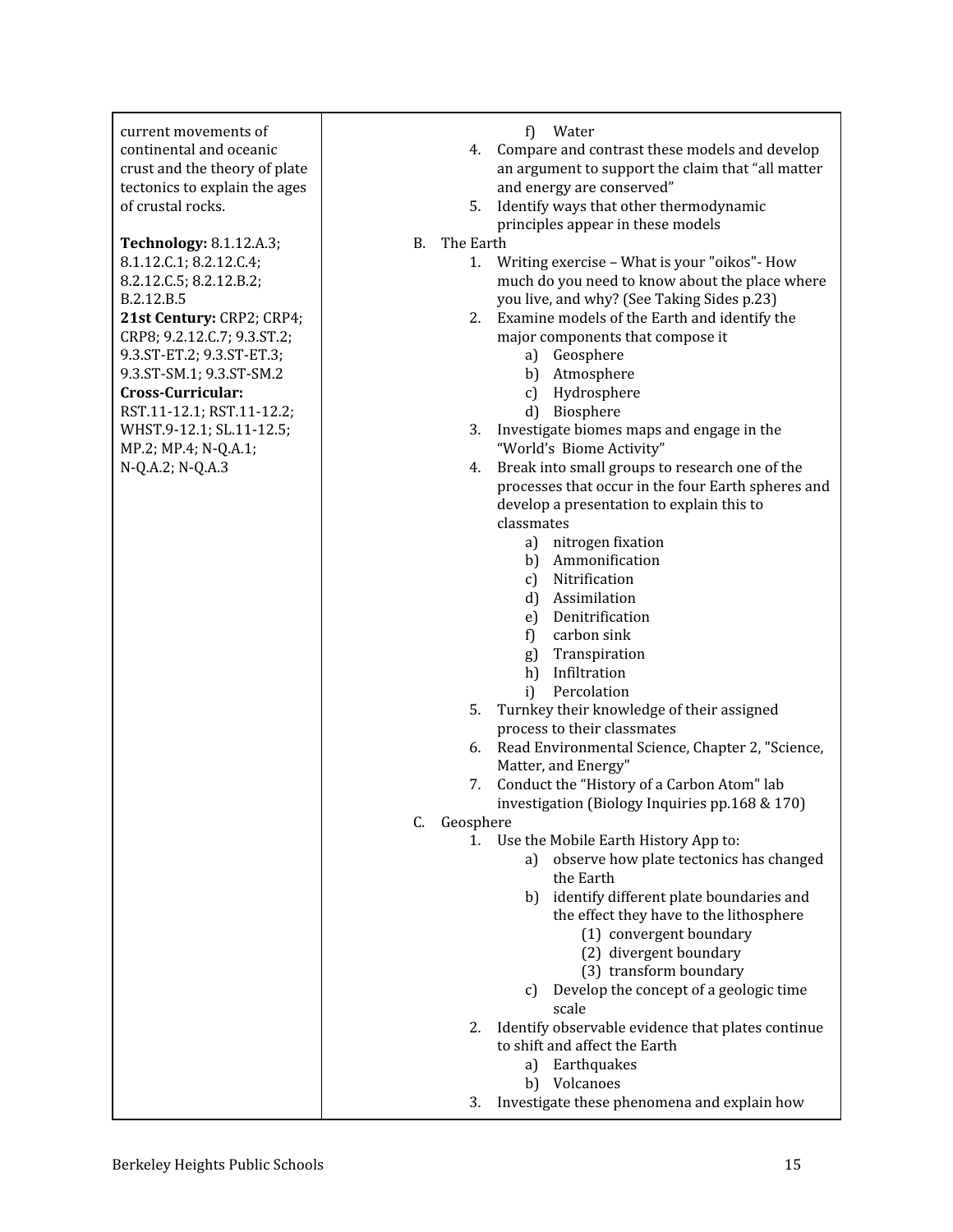| current movements of          | f)<br>Water                                                              |
|-------------------------------|--------------------------------------------------------------------------|
| continental and oceanic       | 4. Compare and contrast these models and develop                         |
| crust and the theory of plate | an argument to support the claim that "all matter                        |
| tectonics to explain the ages | and energy are conserved"                                                |
| of crustal rocks.             | 5. Identify ways that other thermodynamic                                |
|                               | principles appear in these models                                        |
| Technology: 8.1.12.A.3;       | The Earth<br><b>B.</b>                                                   |
| 8.1.12.C.1; 8.2.12.C.4;       | Writing exercise - What is your "oikos" - How<br>1.                      |
| 8.2.12.C.5; 8.2.12.B.2;       | much do you need to know about the place where                           |
| B.2.12.B.5                    | you live, and why? (See Taking Sides p.23)                               |
| 21st Century: CRP2; CRP4;     | 2. Examine models of the Earth and identify the                          |
| CRP8; 9.2.12.C.7; 9.3.ST.2;   | major components that compose it                                         |
| 9.3.ST-ET.2; 9.3.ST-ET.3;     | a) Geosphere                                                             |
| 9.3.ST-SM.1; 9.3.ST-SM.2      | b) Atmosphere                                                            |
| Cross-Curricular:             | c) Hydrosphere                                                           |
| RST.11-12.1; RST.11-12.2;     | d) Biosphere                                                             |
| WHST.9-12.1; SL.11-12.5;      | 3. Investigate biomes maps and engage in the                             |
| MP.2; MP.4; N-Q.A.1;          | "World's Biome Activity"                                                 |
| N-Q.A.2; N-Q.A.3              | 4. Break into small groups to research one of the                        |
|                               | processes that occur in the four Earth spheres and                       |
|                               | develop a presentation to explain this to                                |
|                               | classmates                                                               |
|                               | a) nitrogen fixation                                                     |
|                               | b) Ammonification                                                        |
|                               | c) Nitrification                                                         |
|                               | d) Assimilation                                                          |
|                               | Denitrification<br>e)                                                    |
|                               | carbon sink<br>f)                                                        |
|                               | Transpiration<br>g)                                                      |
|                               | h) Infiltration                                                          |
|                               | Percolation<br>i)<br>5.                                                  |
|                               | Turnkey their knowledge of their assigned<br>process to their classmates |
|                               | 6. Read Environmental Science, Chapter 2, "Science,                      |
|                               | Matter, and Energy"                                                      |
|                               | Conduct the "History of a Carbon Atom" lab<br>7.                         |
|                               | investigation (Biology Inquiries pp.168 & 170)                           |
|                               | Geosphere<br>C.                                                          |
|                               | Use the Mobile Earth History App to:<br>1.                               |
|                               | observe how plate tectonics has changed<br>a)                            |
|                               | the Earth                                                                |
|                               | b) identify different plate boundaries and                               |
|                               | the effect they have to the lithosphere                                  |
|                               | (1) convergent boundary                                                  |
|                               | (2) divergent boundary                                                   |
|                               | (3) transform boundary                                                   |
|                               | Develop the concept of a geologic time<br>C)                             |
|                               | scale                                                                    |
|                               | Identify observable evidence that plates continue<br>2.                  |
|                               | to shift and affect the Earth                                            |
|                               | a) Earthquakes                                                           |
|                               | b) Volcanoes                                                             |
|                               | Investigate these phenomena and explain how<br>3.                        |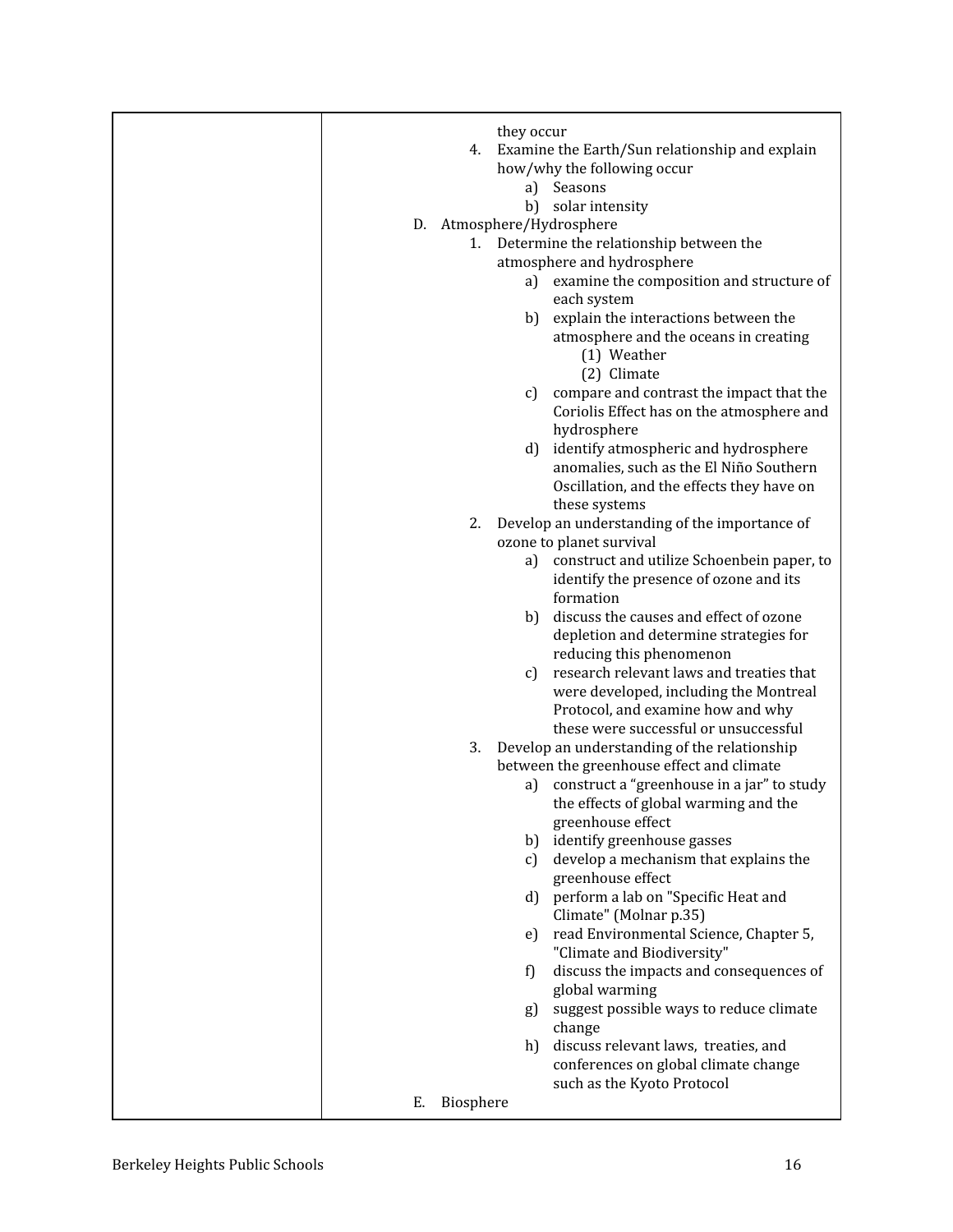| they occur                                          |
|-----------------------------------------------------|
| 4. Examine the Earth/Sun relationship and explain   |
| how/why the following occur                         |
| Seasons<br>a)                                       |
| solar intensity<br>b)                               |
| D. Atmosphere/Hydrosphere                           |
| 1. Determine the relationship between the           |
| atmosphere and hydrosphere                          |
| examine the composition and structure of<br>a)      |
| each system                                         |
| b) explain the interactions between the             |
| atmosphere and the oceans in creating               |
| (1) Weather                                         |
| (2) Climate                                         |
| compare and contrast the impact that the<br>c)      |
| Coriolis Effect has on the atmosphere and           |
| hydrosphere                                         |
| identify atmospheric and hydrosphere<br>d)          |
| anomalies, such as the El Niño Southern             |
| Oscillation, and the effects they have on           |
| these systems                                       |
| Develop an understanding of the importance of<br>2. |
| ozone to planet survival                            |
| a) construct and utilize Schoenbein paper, to       |
| identify the presence of ozone and its              |
| formation                                           |
| b) discuss the causes and effect of ozone           |
| depletion and determine strategies for              |
| reducing this phenomenon                            |
| research relevant laws and treaties that<br>c)      |
| were developed, including the Montreal              |
| Protocol, and examine how and why                   |
| these were successful or unsuccessful               |
| 3.<br>Develop an understanding of the relationship  |
| between the greenhouse effect and climate           |
| construct a "greenhouse in a jar" to study<br>a)    |
| the effects of global warming and the               |
| greenhouse effect                                   |
| identify greenhouse gasses<br>b)                    |
| develop a mechanism that explains the<br>C)         |
| greenhouse effect                                   |
| perform a lab on "Specific Heat and<br>d)           |
| Climate" (Molnar p.35)                              |
| read Environmental Science, Chapter 5,<br>e)        |
| "Climate and Biodiversity"                          |
| discuss the impacts and consequences of<br>f)       |
| global warming                                      |
| suggest possible ways to reduce climate<br>g)       |
| change                                              |
| discuss relevant laws, treaties, and<br>h)          |
| conferences on global climate change                |
| such as the Kyoto Protocol                          |
| Biosphere<br>Е.                                     |
|                                                     |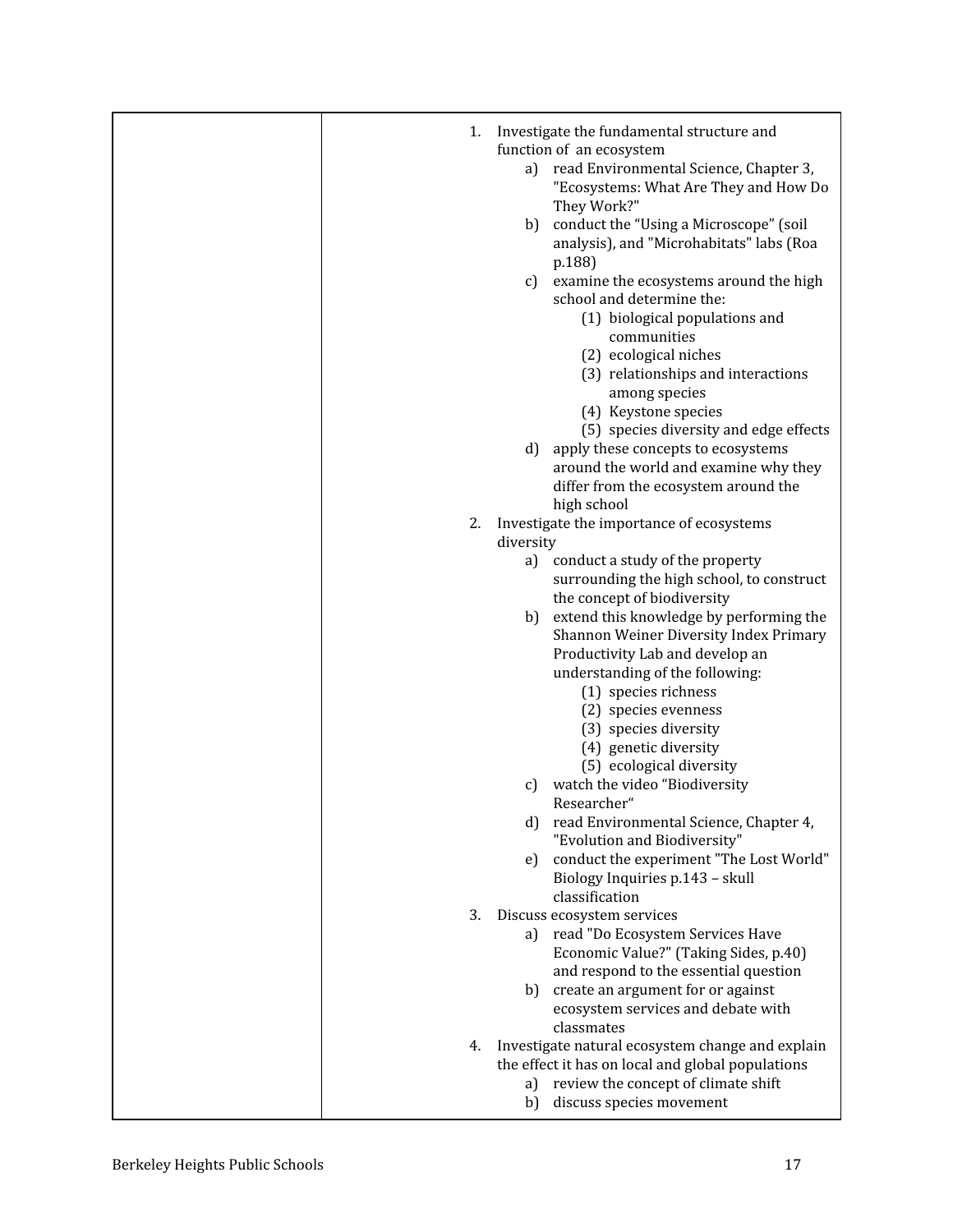| 1. |           | Investigate the fundamental structure and<br>function of an ecosystem |
|----|-----------|-----------------------------------------------------------------------|
|    |           | a) read Environmental Science, Chapter 3,                             |
|    |           |                                                                       |
|    |           | "Ecosystems: What Are They and How Do                                 |
|    |           | They Work?"                                                           |
|    |           | b) conduct the "Using a Microscope" (soil                             |
|    |           | analysis), and "Microhabitats" labs (Roa                              |
|    |           | p.188)                                                                |
|    | c)        | examine the ecosystems around the high                                |
|    |           | school and determine the:                                             |
|    |           |                                                                       |
|    |           | (1) biological populations and                                        |
|    |           | communities                                                           |
|    |           | (2) ecological niches                                                 |
|    |           | (3) relationships and interactions                                    |
|    |           | among species                                                         |
|    |           | (4) Keystone species                                                  |
|    |           | (5) species diversity and edge effects                                |
|    | d)        | apply these concepts to ecosystems                                    |
|    |           | around the world and examine why they                                 |
|    |           | differ from the ecosystem around the                                  |
|    |           |                                                                       |
|    |           | high school                                                           |
| 2. |           | Investigate the importance of ecosystems                              |
|    | diversity |                                                                       |
|    |           | a) conduct a study of the property                                    |
|    |           | surrounding the high school, to construct                             |
|    |           | the concept of biodiversity                                           |
|    |           | b) extend this knowledge by performing the                            |
|    |           | Shannon Weiner Diversity Index Primary                                |
|    |           | Productivity Lab and develop an                                       |
|    |           | understanding of the following:                                       |
|    |           | (1) species richness                                                  |
|    |           | (2) species evenness                                                  |
|    |           | (3) species diversity                                                 |
|    |           |                                                                       |
|    |           | (4) genetic diversity                                                 |
|    |           | (5) ecological diversity                                              |
|    | c)        | watch the video "Biodiversity                                         |
|    |           | Researcher"                                                           |
|    |           | d) read Environmental Science, Chapter 4,                             |
|    |           | "Evolution and Biodiversity"                                          |
|    | e)        | conduct the experiment "The Lost World"                               |
|    |           | Biology Inquiries p.143 - skull                                       |
|    |           | classification                                                        |
| 3. |           | Discuss ecosystem services                                            |
|    |           | a) read "Do Ecosystem Services Have                                   |
|    |           | Economic Value?" (Taking Sides, p.40)                                 |
|    |           | and respond to the essential question                                 |
|    | b)        | create an argument for or against                                     |
|    |           | ecosystem services and debate with                                    |
|    |           |                                                                       |
|    |           | classmates                                                            |
| 4. |           | Investigate natural ecosystem change and explain                      |
|    |           | the effect it has on local and global populations                     |
|    | a)        | review the concept of climate shift                                   |
|    | b)        | discuss species movement                                              |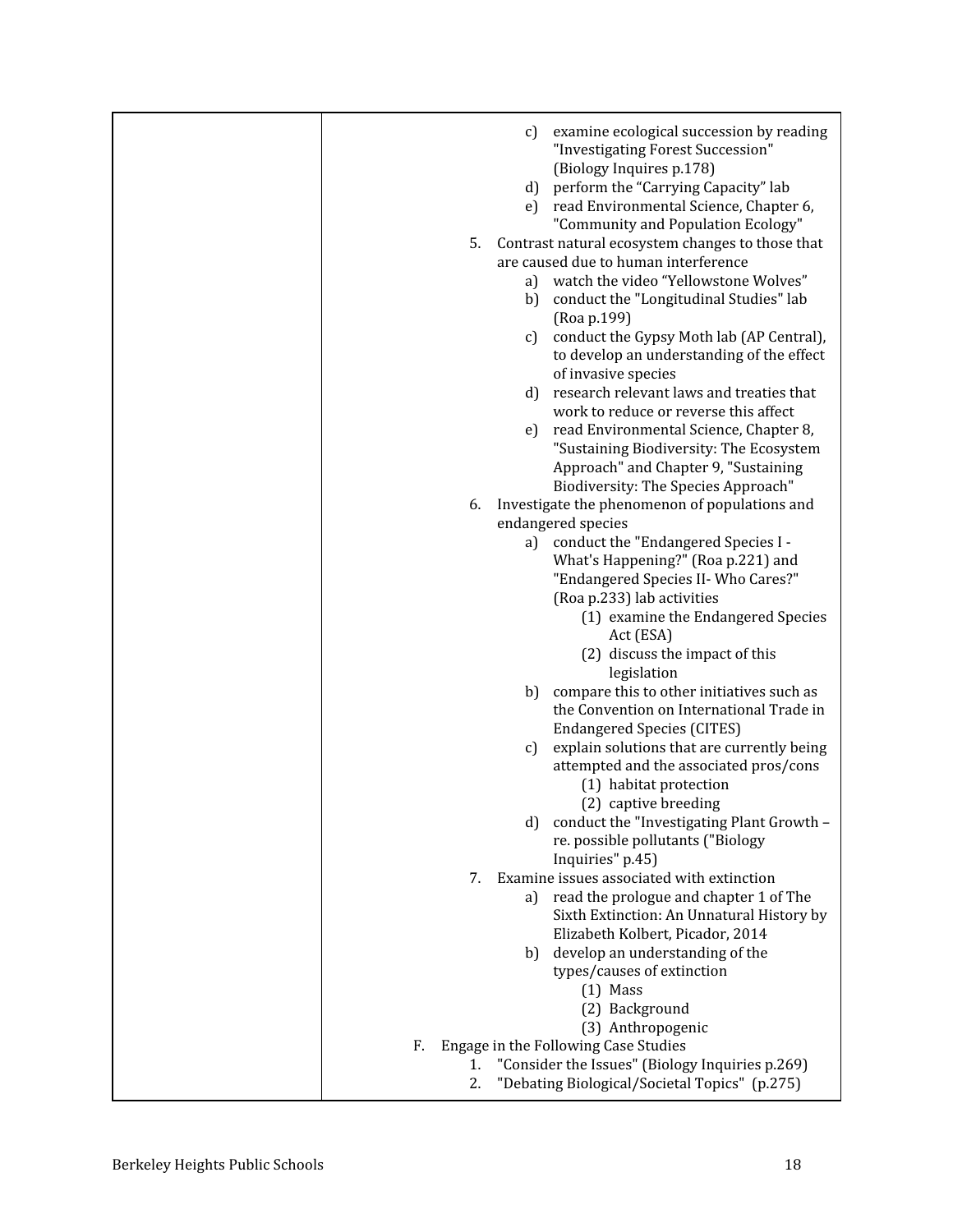|          | examine ecological succession by reading<br>C)<br>"Investigating Forest Succession"<br>(Biology Inquires p.178)<br>d) perform the "Carrying Capacity" lab<br>read Environmental Science, Chapter 6,<br>e)                                                                                     |
|----------|-----------------------------------------------------------------------------------------------------------------------------------------------------------------------------------------------------------------------------------------------------------------------------------------------|
| 5.       | "Community and Population Ecology"<br>Contrast natural ecosystem changes to those that<br>are caused due to human interference<br>watch the video "Yellowstone Wolves"<br>a)<br>conduct the "Longitudinal Studies" lab<br>b)<br>(Roa p.199)<br>conduct the Gypsy Moth lab (AP Central),<br>C) |
|          | to develop an understanding of the effect<br>of invasive species<br>research relevant laws and treaties that<br>d)                                                                                                                                                                            |
|          | work to reduce or reverse this affect<br>read Environmental Science, Chapter 8,<br>e)<br>"Sustaining Biodiversity: The Ecosystem<br>Approach" and Chapter 9, "Sustaining                                                                                                                      |
| 6.       | Biodiversity: The Species Approach"<br>Investigate the phenomenon of populations and                                                                                                                                                                                                          |
|          | endangered species                                                                                                                                                                                                                                                                            |
|          | conduct the "Endangered Species I -<br>a)                                                                                                                                                                                                                                                     |
|          | What's Happening?" (Roa p.221) and                                                                                                                                                                                                                                                            |
|          | "Endangered Species II- Who Cares?"                                                                                                                                                                                                                                                           |
|          | (Roa p.233) lab activities                                                                                                                                                                                                                                                                    |
|          | (1) examine the Endangered Species<br>Act (ESA)                                                                                                                                                                                                                                               |
|          | (2) discuss the impact of this<br>legislation                                                                                                                                                                                                                                                 |
|          | compare this to other initiatives such as<br>b)<br>the Convention on International Trade in<br><b>Endangered Species (CITES)</b>                                                                                                                                                              |
|          | explain solutions that are currently being<br>C)<br>attempted and the associated pros/cons<br>(1) habitat protection                                                                                                                                                                          |
|          | (2) captive breeding                                                                                                                                                                                                                                                                          |
|          | conduct the "Investigating Plant Growth -<br>d)<br>re. possible pollutants ("Biology                                                                                                                                                                                                          |
|          | Inquiries" p.45)                                                                                                                                                                                                                                                                              |
| 7.       | Examine issues associated with extinction                                                                                                                                                                                                                                                     |
|          | read the prologue and chapter 1 of The<br>a)                                                                                                                                                                                                                                                  |
|          | Sixth Extinction: An Unnatural History by                                                                                                                                                                                                                                                     |
|          | Elizabeth Kolbert, Picador, 2014                                                                                                                                                                                                                                                              |
|          | develop an understanding of the<br>b)                                                                                                                                                                                                                                                         |
|          | types/causes of extinction                                                                                                                                                                                                                                                                    |
|          | $(1)$ Mass                                                                                                                                                                                                                                                                                    |
|          | (2) Background                                                                                                                                                                                                                                                                                |
|          | (3) Anthropogenic                                                                                                                                                                                                                                                                             |
| F.<br>1. | Engage in the Following Case Studies<br>"Consider the Issues" (Biology Inquiries p.269)                                                                                                                                                                                                       |
| 2.       | "Debating Biological/Societal Topics" (p.275)                                                                                                                                                                                                                                                 |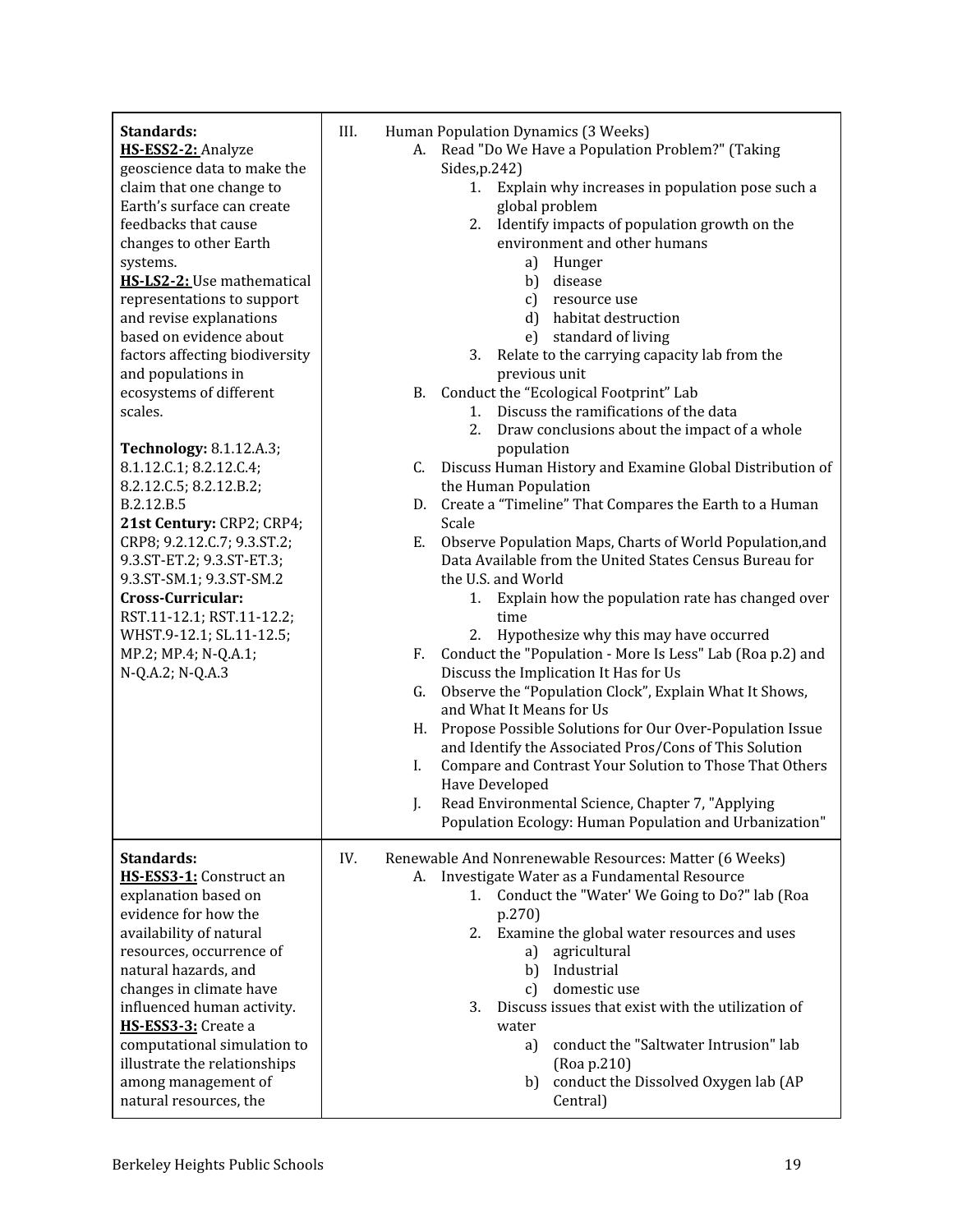| Standards:<br>HS-ESS2-2: Analyze<br>geoscience data to make the<br>claim that one change to<br>Earth's surface can create<br>feedbacks that cause<br>changes to other Earth<br>systems.<br>HS-LS2-2: Use mathematical<br>representations to support<br>and revise explanations<br>based on evidence about<br>factors affecting biodiversity<br>and populations in<br>ecosystems of different<br>scales.<br>Technology: 8.1.12.A.3;<br>8.1.12.C.1; 8.2.12.C.4;<br>8.2.12.C.5; 8.2.12.B.2;<br>B.2.12.B.5<br>21st Century: CRP2; CRP4;<br>CRP8; 9.2.12.C.7; 9.3.ST.2;<br>9.3.ST-ET.2; 9.3.ST-ET.3;<br>9.3.ST-SM.1; 9.3.ST-SM.2<br>Cross-Curricular:<br>RST.11-12.1; RST.11-12.2;<br>WHST.9-12.1; SL.11-12.5;<br>MP.2; MP.4; N-Q.A.1;<br>N-Q.A.2; N-Q.A.3 | III.<br>Human Population Dynamics (3 Weeks)<br>A. Read "Do We Have a Population Problem?" (Taking<br>Sides, p.242)<br>Explain why increases in population pose such a<br>1.<br>global problem<br>2. Identify impacts of population growth on the<br>environment and other humans<br>a) Hunger<br>b) disease<br>c) resource use<br>d) habitat destruction<br>standard of living<br>e)<br>3.<br>Relate to the carrying capacity lab from the<br>previous unit<br>B. Conduct the "Ecological Footprint" Lab<br>1. Discuss the ramifications of the data<br>2.<br>Draw conclusions about the impact of a whole<br>population<br>Discuss Human History and Examine Global Distribution of<br>C.<br>the Human Population<br>Create a "Timeline" That Compares the Earth to a Human<br>D.<br>Scale<br>Observe Population Maps, Charts of World Population, and<br>Е.<br>Data Available from the United States Census Bureau for<br>the U.S. and World<br>Explain how the population rate has changed over<br>1.<br>time<br>2. Hypothesize why this may have occurred<br>Conduct the "Population - More Is Less" Lab (Roa p.2) and<br>F.<br>Discuss the Implication It Has for Us<br>Observe the "Population Clock", Explain What It Shows,<br>G.<br>and What It Means for Us<br>Propose Possible Solutions for Our Over-Population Issue<br>H.<br>and Identify the Associated Pros/Cons of This Solution<br>Compare and Contrast Your Solution to Those That Others<br>I.<br>Have Developed<br>Read Environmental Science, Chapter 7, "Applying<br>J.<br>Population Ecology: Human Population and Urbanization" |
|-------------------------------------------------------------------------------------------------------------------------------------------------------------------------------------------------------------------------------------------------------------------------------------------------------------------------------------------------------------------------------------------------------------------------------------------------------------------------------------------------------------------------------------------------------------------------------------------------------------------------------------------------------------------------------------------------------------------------------------------------------|----------------------------------------------------------------------------------------------------------------------------------------------------------------------------------------------------------------------------------------------------------------------------------------------------------------------------------------------------------------------------------------------------------------------------------------------------------------------------------------------------------------------------------------------------------------------------------------------------------------------------------------------------------------------------------------------------------------------------------------------------------------------------------------------------------------------------------------------------------------------------------------------------------------------------------------------------------------------------------------------------------------------------------------------------------------------------------------------------------------------------------------------------------------------------------------------------------------------------------------------------------------------------------------------------------------------------------------------------------------------------------------------------------------------------------------------------------------------------------------------------------------------------------------------------------------------------------------------------------|
| Standards:<br>HS-ESS3-1: Construct an<br>explanation based on<br>evidence for how the<br>availability of natural<br>resources, occurrence of<br>natural hazards, and<br>changes in climate have<br>influenced human activity.<br>HS-ESS3-3: Create a<br>computational simulation to<br>illustrate the relationships<br>among management of<br>natural resources, the                                                                                                                                                                                                                                                                                                                                                                                  | IV.<br>Renewable And Nonrenewable Resources: Matter (6 Weeks)<br>A. Investigate Water as a Fundamental Resource<br>Conduct the "Water' We Going to Do?" lab (Roa<br>1.<br>p.270)<br>Examine the global water resources and uses<br>2.<br>agricultural<br>a)<br>Industrial<br>b)<br>domestic use<br>c)<br>Discuss issues that exist with the utilization of<br>3.<br>water<br>conduct the "Saltwater Intrusion" lab<br>a)<br>(Roa p.210)<br>conduct the Dissolved Oxygen lab (AP<br>b)<br>Central)                                                                                                                                                                                                                                                                                                                                                                                                                                                                                                                                                                                                                                                                                                                                                                                                                                                                                                                                                                                                                                                                                                        |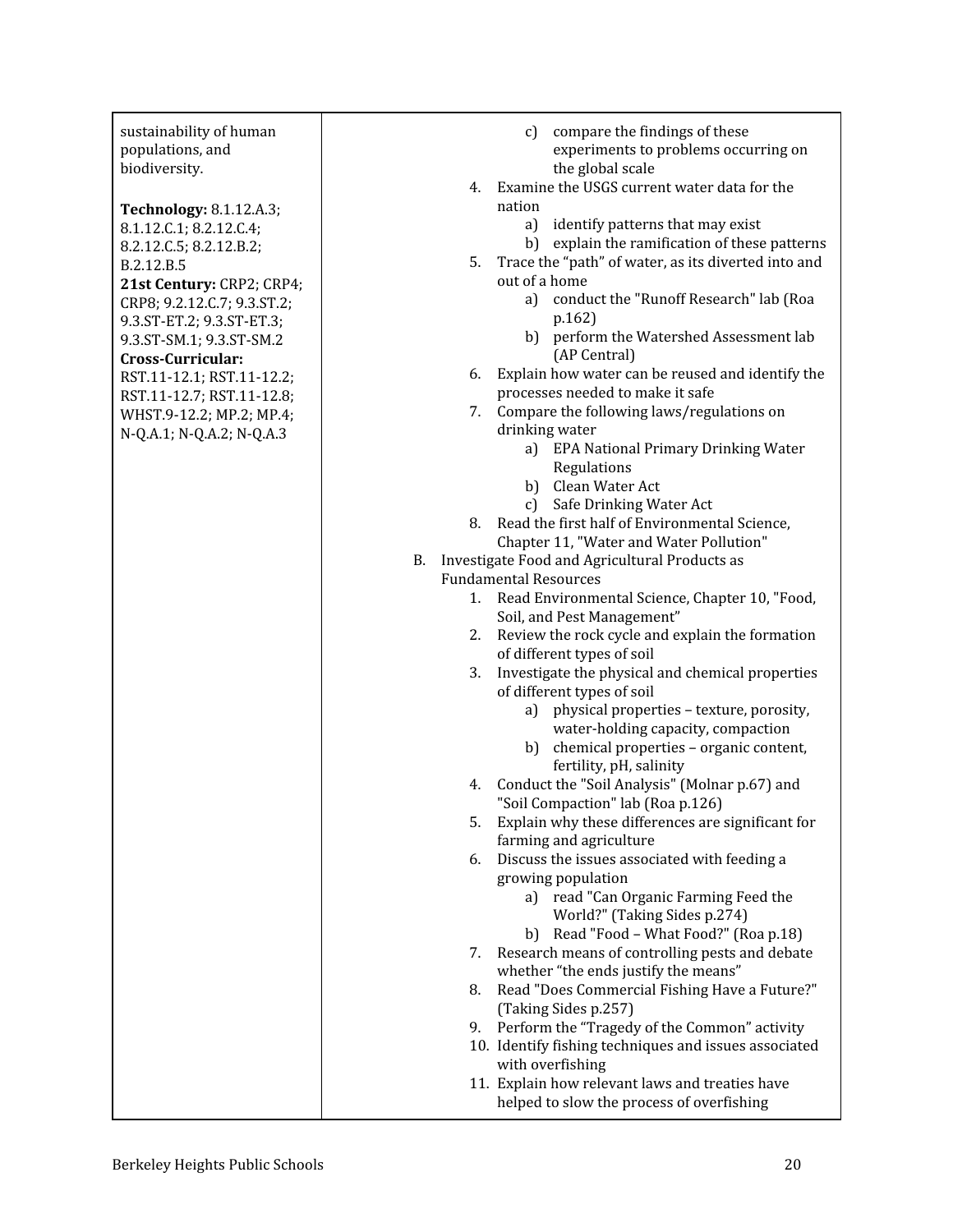| sustainability of human<br>populations, and | compare the findings of these<br>c)<br>experiments to problems occurring on |
|---------------------------------------------|-----------------------------------------------------------------------------|
| biodiversity.                               | the global scale                                                            |
|                                             | Examine the USGS current water data for the<br>4.                           |
| Technology: 8.1.12.A.3;                     | nation                                                                      |
| 8.1.12.C.1; 8.2.12.C.4;                     | a) identify patterns that may exist                                         |
| 8.2.12.C.5; 8.2.12.B.2;                     | b) explain the ramification of these patterns                               |
| B.2.12.B.5                                  | Trace the "path" of water, as its diverted into and<br>5.                   |
| 21st Century: CRP2; CRP4;                   | out of a home                                                               |
| CRP8; 9.2.12.C.7; 9.3.ST.2;                 | conduct the "Runoff Research" lab (Roa<br>a)                                |
| 9.3.ST-ET.2; 9.3.ST-ET.3;                   | p.162)                                                                      |
| 9.3.ST-SM.1; 9.3.ST-SM.2                    | b) perform the Watershed Assessment lab                                     |
| Cross-Curricular:                           | (AP Central)                                                                |
| RST.11-12.1; RST.11-12.2;                   | Explain how water can be reused and identify the<br>6.                      |
| RST.11-12.7; RST.11-12.8;                   | processes needed to make it safe<br>7.                                      |
| WHST.9-12.2; MP.2; MP.4;                    | Compare the following laws/regulations on<br>drinking water                 |
| N-Q.A.1; N-Q.A.2; N-Q.A.3                   | a) EPA National Primary Drinking Water                                      |
|                                             | Regulations                                                                 |
|                                             | b) Clean Water Act                                                          |
|                                             | c) Safe Drinking Water Act                                                  |
|                                             | Read the first half of Environmental Science,<br>8.                         |
|                                             | Chapter 11, "Water and Water Pollution"                                     |
|                                             | Investigate Food and Agricultural Products as<br>В.                         |
|                                             | <b>Fundamental Resources</b>                                                |
|                                             | Read Environmental Science, Chapter 10, "Food,<br>1.                        |
|                                             | Soil, and Pest Management"                                                  |
|                                             | Review the rock cycle and explain the formation<br>2.                       |
|                                             | of different types of soil                                                  |
|                                             | Investigate the physical and chemical properties<br>3.                      |
|                                             | of different types of soil                                                  |
|                                             | physical properties - texture, porosity,<br>a)                              |
|                                             | water-holding capacity, compaction                                          |
|                                             | b) chemical properties - organic content,                                   |
|                                             | fertility, pH, salinity                                                     |
|                                             | Conduct the "Soil Analysis" (Molnar p.67) and<br>4.                         |
|                                             | "Soil Compaction" lab (Roa p.126)                                           |
|                                             | Explain why these differences are significant for<br>5.                     |
|                                             | farming and agriculture                                                     |
|                                             | Discuss the issues associated with feeding a<br>6.                          |
|                                             | growing population                                                          |
|                                             | a) read "Can Organic Farming Feed the                                       |
|                                             | World?" (Taking Sides p.274)                                                |
|                                             | b) Read "Food - What Food?" (Roa p.18)                                      |
|                                             | Research means of controlling pests and debate<br>7.                        |
|                                             | whether "the ends justify the means"                                        |
|                                             | Read "Does Commercial Fishing Have a Future?"<br>8.                         |
|                                             | (Taking Sides p.257)                                                        |
|                                             | Perform the "Tragedy of the Common" activity<br>9.                          |
|                                             | 10. Identify fishing techniques and issues associated                       |
|                                             | with overfishing<br>11. Explain how relevant laws and treaties have         |
|                                             | helped to slow the process of overfishing                                   |
|                                             |                                                                             |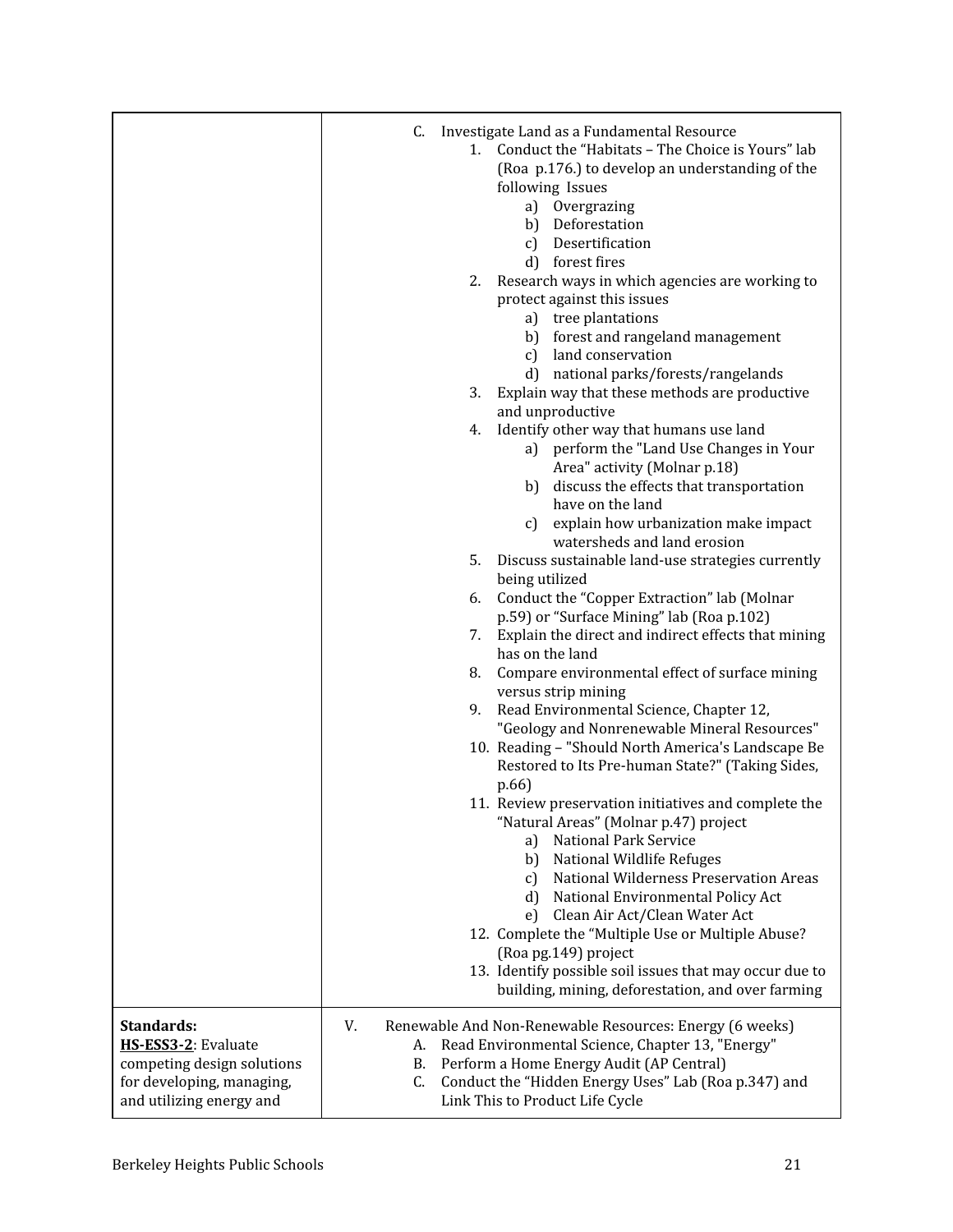|                                                                                                                          | C.<br>Investigate Land as a Fundamental Resource<br>Conduct the "Habitats - The Choice is Yours" lab<br>1.<br>(Roa p.176.) to develop an understanding of the<br>following Issues<br>Overgrazing<br>a)<br>b) Deforestation<br>c) Desertification<br>d) forest fires<br>2.<br>Research ways in which agencies are working to<br>protect against this issues<br>a) tree plantations<br>b) forest and rangeland management<br>c) land conservation<br>d) national parks/forests/rangelands<br>3.<br>Explain way that these methods are productive<br>and unproductive<br>Identify other way that humans use land<br>4.<br>a) perform the "Land Use Changes in Your<br>Area" activity (Molnar p.18)<br>discuss the effects that transportation<br>b)<br>have on the land<br>explain how urbanization make impact<br>c)<br>watersheds and land erosion<br>5.<br>Discuss sustainable land-use strategies currently<br>being utilized<br>Conduct the "Copper Extraction" lab (Molnar<br>6.<br>p.59) or "Surface Mining" lab (Roa p.102)<br>Explain the direct and indirect effects that mining<br>7.<br>has on the land<br>Compare environmental effect of surface mining<br>8.<br>versus strip mining<br>Read Environmental Science, Chapter 12,<br>9.<br>"Geology and Nonrenewable Mineral Resources"<br>10. Reading - "Should North America's Landscape Be<br>Restored to Its Pre-human State?" (Taking Sides,<br>p.66)<br>11. Review preservation initiatives and complete the<br>"Natural Areas" (Molnar p.47) project<br>National Park Service<br>a)<br>National Wildlife Refuges<br>b)<br>National Wilderness Preservation Areas<br>C)<br>National Environmental Policy Act<br>d<br>Clean Air Act/Clean Water Act<br>e)<br>12. Complete the "Multiple Use or Multiple Abuse?<br>(Roa pg.149) project<br>13. Identify possible soil issues that may occur due to<br>building, mining, deforestation, and over farming |
|--------------------------------------------------------------------------------------------------------------------------|----------------------------------------------------------------------------------------------------------------------------------------------------------------------------------------------------------------------------------------------------------------------------------------------------------------------------------------------------------------------------------------------------------------------------------------------------------------------------------------------------------------------------------------------------------------------------------------------------------------------------------------------------------------------------------------------------------------------------------------------------------------------------------------------------------------------------------------------------------------------------------------------------------------------------------------------------------------------------------------------------------------------------------------------------------------------------------------------------------------------------------------------------------------------------------------------------------------------------------------------------------------------------------------------------------------------------------------------------------------------------------------------------------------------------------------------------------------------------------------------------------------------------------------------------------------------------------------------------------------------------------------------------------------------------------------------------------------------------------------------------------------------------------------------------------------------------------------------------------------------------------------------------------------------|
| Standards:<br>HS-ESS3-2: Evaluate<br>competing design solutions<br>for developing, managing,<br>and utilizing energy and | V.<br>Renewable And Non-Renewable Resources: Energy (6 weeks)<br>Read Environmental Science, Chapter 13, "Energy"<br>А.<br>Perform a Home Energy Audit (AP Central)<br>В.<br>Conduct the "Hidden Energy Uses" Lab (Roa p.347) and<br>C.<br>Link This to Product Life Cycle                                                                                                                                                                                                                                                                                                                                                                                                                                                                                                                                                                                                                                                                                                                                                                                                                                                                                                                                                                                                                                                                                                                                                                                                                                                                                                                                                                                                                                                                                                                                                                                                                                           |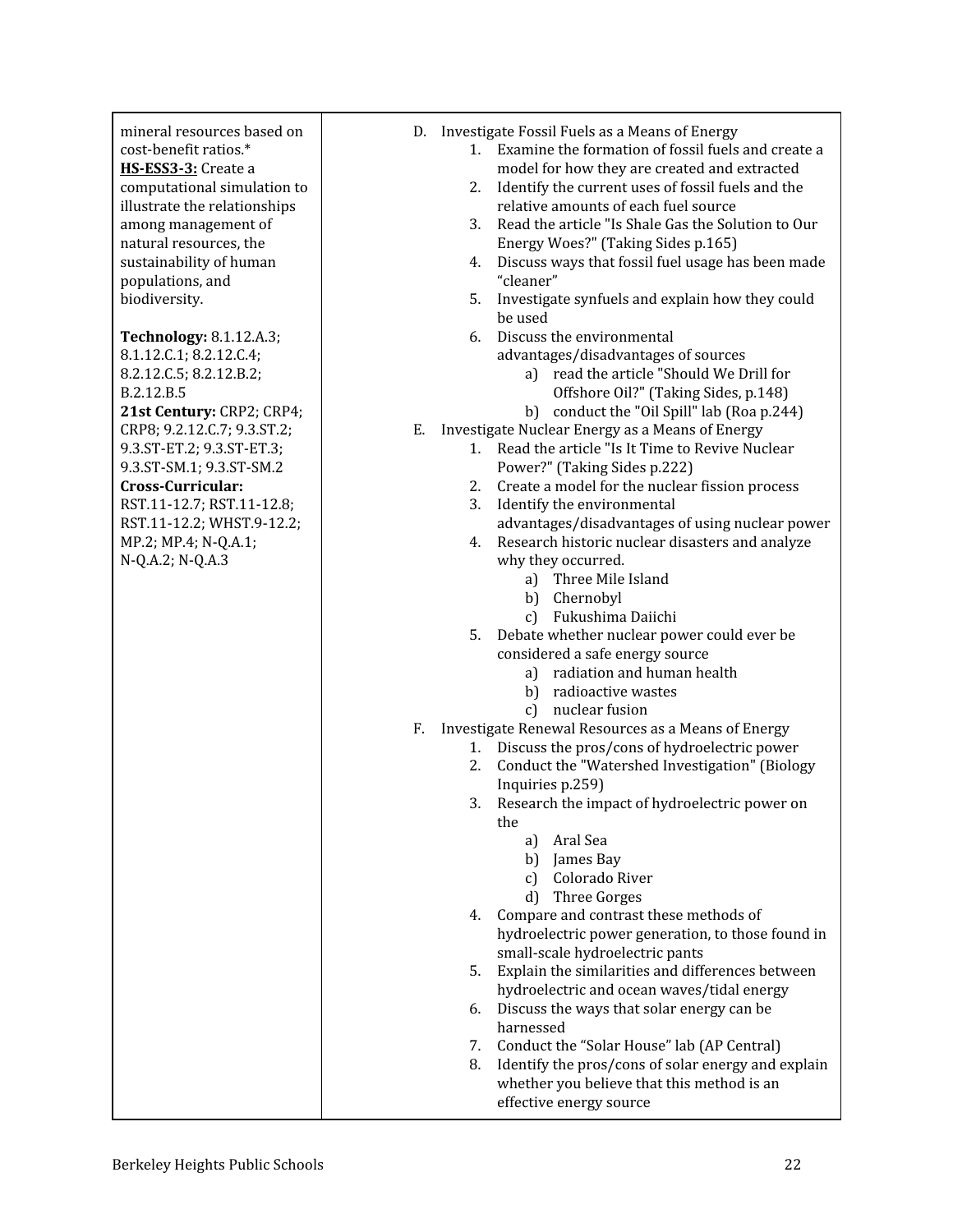| mineral resources based on<br>cost-benefit ratios.*<br>HS-ESS3-3: Create a<br>computational simulation to<br>illustrate the relationships<br>among management of<br>natural resources, the<br>sustainability of human<br>populations, and<br>biodiversity. | D. Investigate Fossil Fuels as a Means of Energy<br>Examine the formation of fossil fuels and create a<br>1.<br>model for how they are created and extracted<br>Identify the current uses of fossil fuels and the<br>2.<br>relative amounts of each fuel source<br>Read the article "Is Shale Gas the Solution to Our<br>3.<br>Energy Woes?" (Taking Sides p.165)<br>Discuss ways that fossil fuel usage has been made<br>4.<br>"cleaner"<br>Investigate synfuels and explain how they could<br>5.                                       |
|------------------------------------------------------------------------------------------------------------------------------------------------------------------------------------------------------------------------------------------------------------|------------------------------------------------------------------------------------------------------------------------------------------------------------------------------------------------------------------------------------------------------------------------------------------------------------------------------------------------------------------------------------------------------------------------------------------------------------------------------------------------------------------------------------------|
| Technology: 8.1.12.A.3;<br>8.1.12.C.1; 8.2.12.C.4;<br>8.2.12.C.5; 8.2.12.B.2;<br>B.2.12.B.5<br>21st Century: CRP2; CRP4;                                                                                                                                   | be used<br>Discuss the environmental<br>6.<br>advantages/disadvantages of sources<br>a) read the article "Should We Drill for<br>Offshore Oil?" (Taking Sides, p.148)<br>conduct the "Oil Spill" lab (Roa p.244)<br>b)                                                                                                                                                                                                                                                                                                                   |
| CRP8; 9.2.12.C.7; 9.3.ST.2;<br>9.3.ST-ET.2; 9.3.ST-ET.3;<br>9.3.ST-SM.1; 9.3.ST-SM.2<br>Cross-Curricular:<br>RST.11-12.7; RST.11-12.8;<br>RST.11-12.2; WHST.9-12.2;<br>MP.2; MP.4; N-Q.A.1;<br>N-Q.A.2; N-Q.A.3                                            | Ε.<br>Investigate Nuclear Energy as a Means of Energy<br>Read the article "Is It Time to Revive Nuclear<br>1.<br>Power?" (Taking Sides p.222)<br>Create a model for the nuclear fission process<br>2.<br>3.<br>Identify the environmental<br>advantages/disadvantages of using nuclear power<br>Research historic nuclear disasters and analyze<br>4.<br>why they occurred.<br>Three Mile Island<br>a)<br>b) Chernobyl<br>Fukushima Daiichi<br>c)<br>Debate whether nuclear power could ever be<br>5.<br>considered a safe energy source |
|                                                                                                                                                                                                                                                            | radiation and human health<br>a)<br>b) radioactive wastes<br>nuclear fusion<br>c)                                                                                                                                                                                                                                                                                                                                                                                                                                                        |
|                                                                                                                                                                                                                                                            | Investigate Renewal Resources as a Means of Energy<br>F.<br>Discuss the pros/cons of hydroelectric power<br>1.<br>Conduct the "Watershed Investigation" (Biology<br>2.                                                                                                                                                                                                                                                                                                                                                                   |
|                                                                                                                                                                                                                                                            | Inquiries p.259)<br>Research the impact of hydroelectric power on<br>3.<br>the<br>Aral Sea<br>a)                                                                                                                                                                                                                                                                                                                                                                                                                                         |
|                                                                                                                                                                                                                                                            | b) James Bay<br>Colorado River<br>$\mathcal{C}$<br>Three Gorges<br>d)                                                                                                                                                                                                                                                                                                                                                                                                                                                                    |
|                                                                                                                                                                                                                                                            | Compare and contrast these methods of<br>4.<br>hydroelectric power generation, to those found in<br>small-scale hydroelectric pants                                                                                                                                                                                                                                                                                                                                                                                                      |
|                                                                                                                                                                                                                                                            | Explain the similarities and differences between<br>5.<br>hydroelectric and ocean waves/tidal energy<br>Discuss the ways that solar energy can be<br>6.<br>harnessed                                                                                                                                                                                                                                                                                                                                                                     |
|                                                                                                                                                                                                                                                            | Conduct the "Solar House" lab (AP Central)<br>7.<br>Identify the pros/cons of solar energy and explain<br>8.<br>whether you believe that this method is an<br>effective energy source                                                                                                                                                                                                                                                                                                                                                    |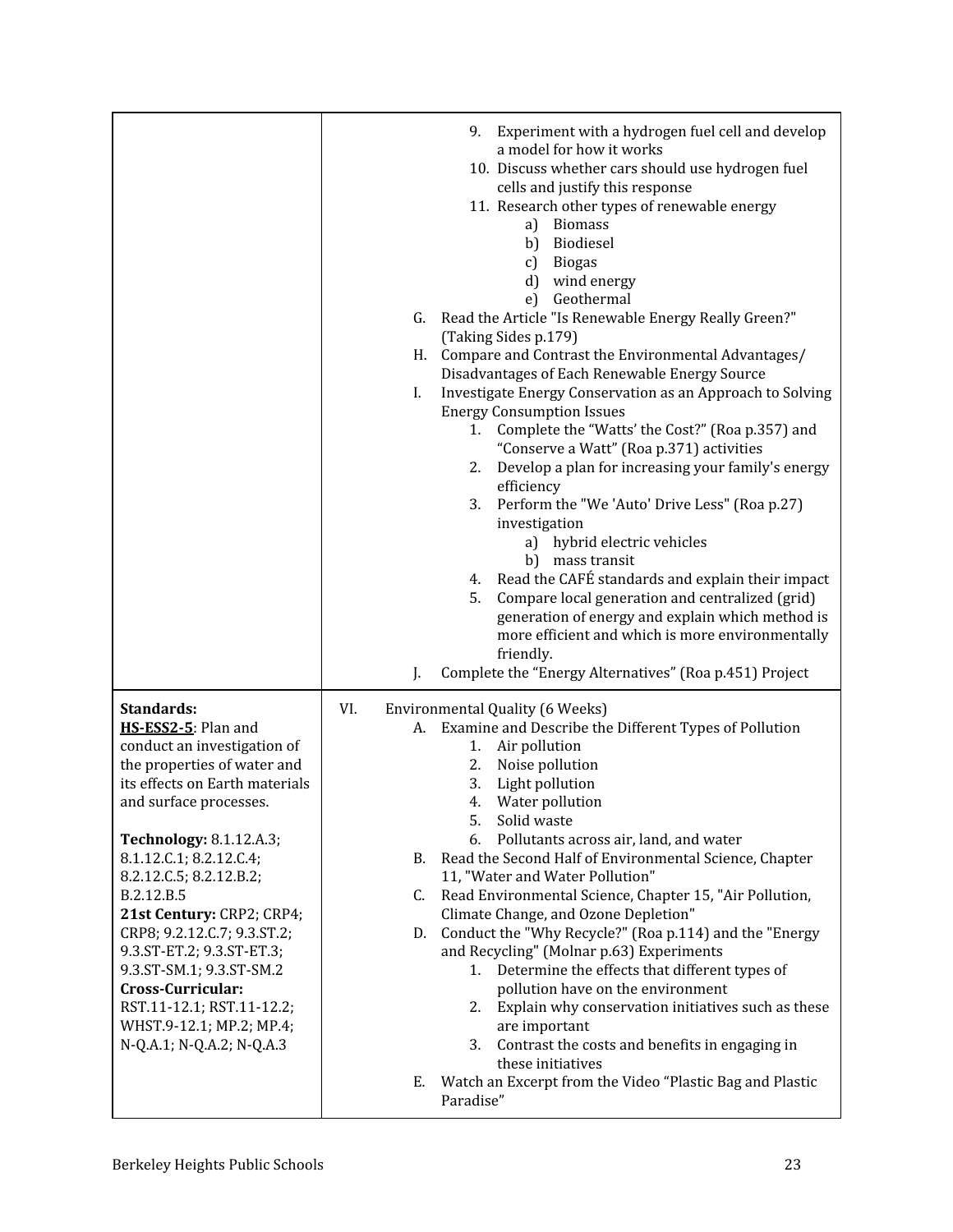|                                                                                                                                                                                                                                                                                                                                                                                                                                                                                                   | Experiment with a hydrogen fuel cell and develop<br>9.<br>a model for how it works<br>10. Discuss whether cars should use hydrogen fuel<br>cells and justify this response<br>11. Research other types of renewable energy<br><b>Biomass</b><br>a)<br>Biodiesel<br>b)<br><b>Biogas</b><br>c)<br>d)<br>wind energy<br>Geothermal<br>e)<br>Read the Article "Is Renewable Energy Really Green?"<br>G.<br>(Taking Sides p.179)<br>Compare and Contrast the Environmental Advantages/<br>H.<br>Disadvantages of Each Renewable Energy Source<br>Investigate Energy Conservation as an Approach to Solving<br>I.<br><b>Energy Consumption Issues</b><br>Complete the "Watts' the Cost?" (Roa p.357) and<br>1.<br>"Conserve a Watt" (Roa p.371) activities<br>Develop a plan for increasing your family's energy<br>2.<br>efficiency<br>Perform the "We 'Auto' Drive Less" (Roa p.27)<br>3.<br>investigation<br>hybrid electric vehicles<br>a)<br>b) mass transit<br>4. Read the CAFÉ standards and explain their impact<br>Compare local generation and centralized (grid)<br>5.<br>generation of energy and explain which method is<br>more efficient and which is more environmentally<br>friendly.<br>Complete the "Energy Alternatives" (Roa p.451) Project<br>J. |
|---------------------------------------------------------------------------------------------------------------------------------------------------------------------------------------------------------------------------------------------------------------------------------------------------------------------------------------------------------------------------------------------------------------------------------------------------------------------------------------------------|------------------------------------------------------------------------------------------------------------------------------------------------------------------------------------------------------------------------------------------------------------------------------------------------------------------------------------------------------------------------------------------------------------------------------------------------------------------------------------------------------------------------------------------------------------------------------------------------------------------------------------------------------------------------------------------------------------------------------------------------------------------------------------------------------------------------------------------------------------------------------------------------------------------------------------------------------------------------------------------------------------------------------------------------------------------------------------------------------------------------------------------------------------------------------------------------------------------------------------------------------------------|
| Standards:<br>HS-ESS2-5: Plan and<br>conduct an investigation of<br>the properties of water and<br>its effects on Earth materials<br>and surface processes.<br><b>Technology: 8.1.12.A.3;</b><br>8.1.12.C.1; 8.2.12.C.4;<br>8.2.12.C.5; 8.2.12.B.2;<br>B.2.12.B.5<br>21st Century: CRP2; CRP4;<br>CRP8; 9.2.12.C.7; 9.3.ST.2;<br>9.3.ST-ET.2; 9.3.ST-ET.3;<br>9.3.ST-SM.1; 9.3.ST-SM.2<br>Cross-Curricular:<br>RST.11-12.1; RST.11-12.2;<br>WHST.9-12.1; MP.2; MP.4;<br>N-Q.A.1; N-Q.A.2; N-Q.A.3 | VI.<br>Environmental Quality (6 Weeks)<br>Examine and Describe the Different Types of Pollution<br>А.<br>Air pollution<br>1.<br>Noise pollution<br>2.<br>Light pollution<br>3.<br>4. Water pollution<br>5.<br>Solid waste<br>Pollutants across air, land, and water<br>6.<br>Read the Second Half of Environmental Science, Chapter<br><b>B.</b><br>11, "Water and Water Pollution"<br>Read Environmental Science, Chapter 15, "Air Pollution,<br>C.<br>Climate Change, and Ozone Depletion"<br>Conduct the "Why Recycle?" (Roa p.114) and the "Energy<br>D.<br>and Recycling" (Molnar p.63) Experiments<br>1. Determine the effects that different types of<br>pollution have on the environment<br>Explain why conservation initiatives such as these<br>2.<br>are important<br>Contrast the costs and benefits in engaging in<br>3.<br>these initiatives<br>Watch an Excerpt from the Video "Plastic Bag and Plastic<br>Е.<br>Paradise"                                                                                                                                                                                                                                                                                                                       |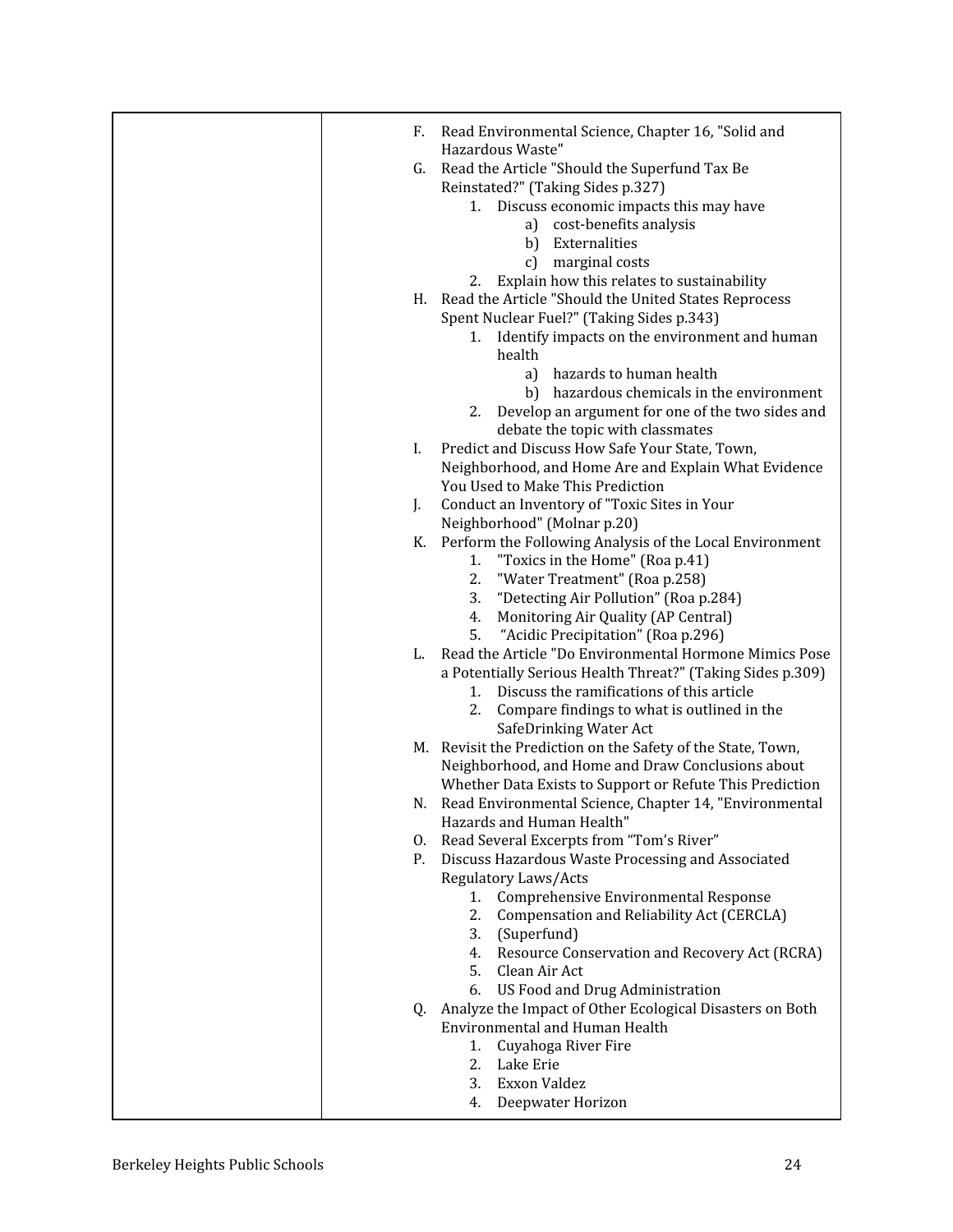| F. | Read Environmental Science, Chapter 16, "Solid and                                       |
|----|------------------------------------------------------------------------------------------|
|    | Hazardous Waste"                                                                         |
| G. | Read the Article "Should the Superfund Tax Be                                            |
|    | Reinstated?" (Taking Sides p.327)                                                        |
|    | 1. Discuss economic impacts this may have                                                |
|    | a) cost-benefits analysis                                                                |
|    | b)<br>Externalities                                                                      |
|    | marginal costs<br>c)                                                                     |
|    | 2. Explain how this relates to sustainability                                            |
|    | H. Read the Article "Should the United States Reprocess                                  |
|    | Spent Nuclear Fuel?" (Taking Sides p.343)                                                |
|    | 1. Identify impacts on the environment and human                                         |
|    | health                                                                                   |
|    | hazards to human health<br>a)                                                            |
|    | b) hazardous chemicals in the environment                                                |
|    | 2. Develop an argument for one of the two sides and                                      |
|    | debate the topic with classmates                                                         |
| L. | Predict and Discuss How Safe Your State, Town,                                           |
|    | Neighborhood, and Home Are and Explain What Evidence<br>You Used to Make This Prediction |
| L. | Conduct an Inventory of "Toxic Sites in Your                                             |
|    | Neighborhood" (Molnar p.20)                                                              |
| К. | Perform the Following Analysis of the Local Environment                                  |
|    | "Toxics in the Home" (Roa p.41)<br>1.                                                    |
|    | "Water Treatment" (Roa p.258)<br>2.                                                      |
|    | "Detecting Air Pollution" (Roa p.284)<br>3.                                              |
|    | Monitoring Air Quality (AP Central)<br>4.                                                |
|    | "Acidic Precipitation" (Roa p.296)<br>5.                                                 |
| L. | Read the Article "Do Environmental Hormone Mimics Pose                                   |
|    | a Potentially Serious Health Threat?" (Taking Sides p.309)                               |
|    | Discuss the ramifications of this article<br>1.                                          |
|    | 2. Compare findings to what is outlined in the                                           |
|    | SafeDrinking Water Act                                                                   |
|    | M. Revisit the Prediction on the Safety of the State, Town,                              |
|    | Neighborhood, and Home and Draw Conclusions about                                        |
|    | Whether Data Exists to Support or Refute This Prediction                                 |
|    | N. Read Environmental Science, Chapter 14, "Environmental<br>Hazards and Human Health"   |
| O. | Read Several Excerpts from "Tom's River"                                                 |
| Ρ. | Discuss Hazardous Waste Processing and Associated                                        |
|    | Regulatory Laws/Acts                                                                     |
|    | Comprehensive Environmental Response<br>1.                                               |
|    | 2.<br>Compensation and Reliability Act (CERCLA)                                          |
|    | (Superfund)<br>3.                                                                        |
|    | 4. Resource Conservation and Recovery Act (RCRA)                                         |
|    | 5. Clean Air Act                                                                         |
|    | US Food and Drug Administration<br>6.                                                    |
|    | Q. Analyze the Impact of Other Ecological Disasters on Both                              |
|    | Environmental and Human Health                                                           |
|    | Cuyahoga River Fire<br>1.                                                                |
|    | 2.<br>Lake Erie                                                                          |
|    | Exxon Valdez<br>3.                                                                       |
|    | Deepwater Horizon<br>4.                                                                  |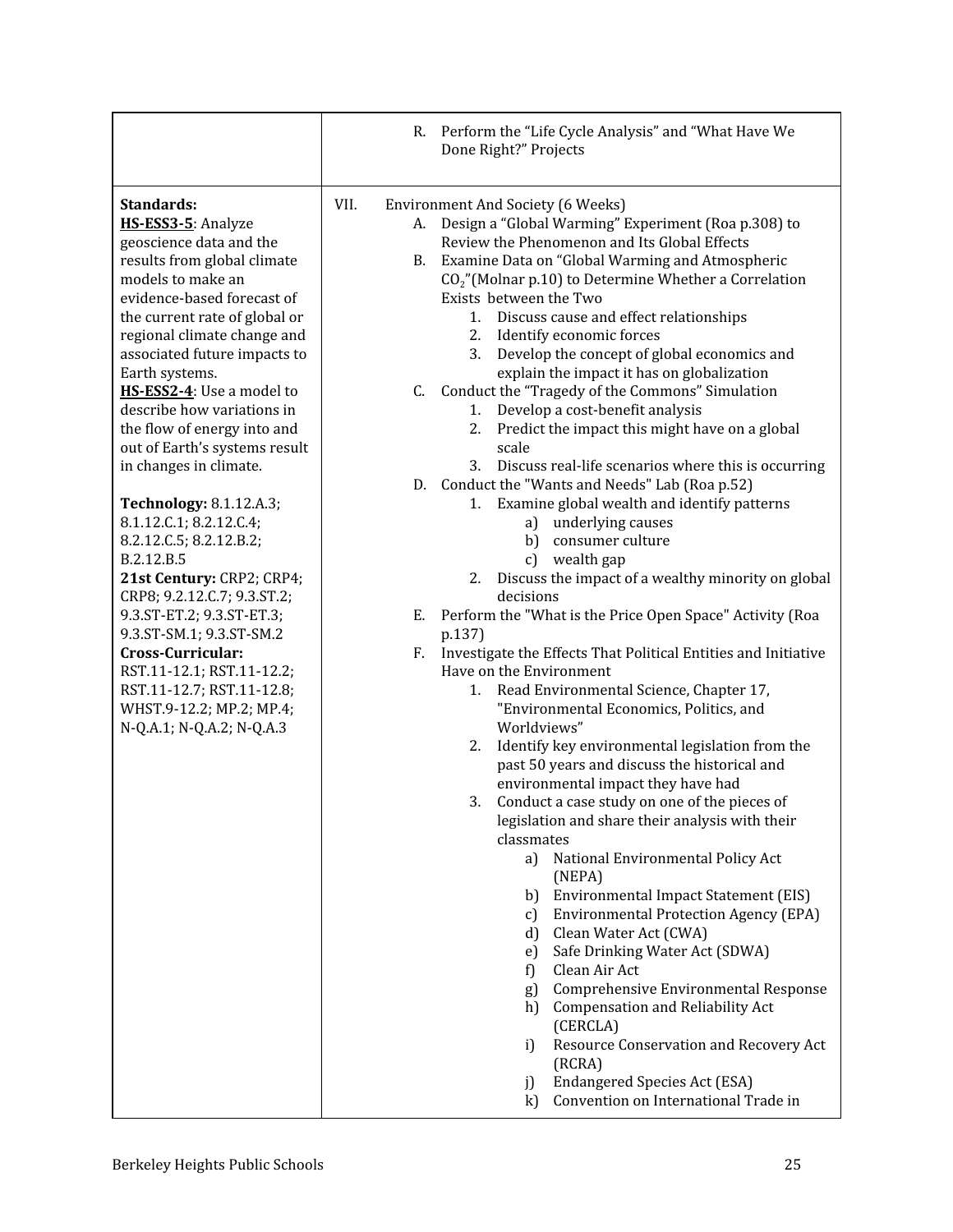|                                                                                                                                                                                                                                                                                                                                                                                                                                                                                                                                                                                                                                                                                                                                                                                         | R. Perform the "Life Cycle Analysis" and "What Have We<br>Done Right?" Projects                                                                                                                                                                                                                                                                                                                                                                                                                                                                                                                                                                                                                                                                                                                                                                                                                                                                                                                                                                                                                                                                                                                                                                                                                                                                                                                                                                                                                                                                                                                                                                                                                                                                                                                                                                                                                                                                                                                                                                                                    |
|-----------------------------------------------------------------------------------------------------------------------------------------------------------------------------------------------------------------------------------------------------------------------------------------------------------------------------------------------------------------------------------------------------------------------------------------------------------------------------------------------------------------------------------------------------------------------------------------------------------------------------------------------------------------------------------------------------------------------------------------------------------------------------------------|------------------------------------------------------------------------------------------------------------------------------------------------------------------------------------------------------------------------------------------------------------------------------------------------------------------------------------------------------------------------------------------------------------------------------------------------------------------------------------------------------------------------------------------------------------------------------------------------------------------------------------------------------------------------------------------------------------------------------------------------------------------------------------------------------------------------------------------------------------------------------------------------------------------------------------------------------------------------------------------------------------------------------------------------------------------------------------------------------------------------------------------------------------------------------------------------------------------------------------------------------------------------------------------------------------------------------------------------------------------------------------------------------------------------------------------------------------------------------------------------------------------------------------------------------------------------------------------------------------------------------------------------------------------------------------------------------------------------------------------------------------------------------------------------------------------------------------------------------------------------------------------------------------------------------------------------------------------------------------------------------------------------------------------------------------------------------------|
| Standards:<br>HS-ESS3-5: Analyze<br>geoscience data and the<br>results from global climate<br>models to make an<br>evidence-based forecast of<br>the current rate of global or<br>regional climate change and<br>associated future impacts to<br>Earth systems.<br>HS-ESS2-4: Use a model to<br>describe how variations in<br>the flow of energy into and<br>out of Earth's systems result<br>in changes in climate.<br><b>Technology: 8.1.12.A.3;</b><br>8.1.12.C.1; 8.2.12.C.4;<br>8.2.12.C.5; 8.2.12.B.2;<br>B.2.12.B.5<br>21st Century: CRP2; CRP4;<br>CRP8; 9.2.12.C.7; 9.3.ST.2;<br>9.3.ST-ET.2; 9.3.ST-ET.3;<br>9.3.ST-SM.1; 9.3.ST-SM.2<br>Cross-Curricular:<br>RST.11-12.1; RST.11-12.2;<br>RST.11-12.7; RST.11-12.8;<br>WHST.9-12.2; MP.2; MP.4;<br>N-Q.A.1; N-Q.A.2; N-Q.A.3 | VII.<br><b>Environment And Society (6 Weeks)</b><br>Design a "Global Warming" Experiment (Roa p.308) to<br>А.<br>Review the Phenomenon and Its Global Effects<br>Examine Data on "Global Warming and Atmospheric<br>B.<br>$CO2$ "(Molnar p.10) to Determine Whether a Correlation<br>Exists between the Two<br>Discuss cause and effect relationships<br>1.<br>Identify economic forces<br>2.<br>3. Develop the concept of global economics and<br>explain the impact it has on globalization<br>Conduct the "Tragedy of the Commons" Simulation<br>C.<br>Develop a cost-benefit analysis<br>1.<br>Predict the impact this might have on a global<br>2.<br>scale<br>Discuss real-life scenarios where this is occurring<br>3.<br>D. Conduct the "Wants and Needs" Lab (Roa p.52)<br>Examine global wealth and identify patterns<br>1.<br>underlying causes<br>a)<br>consumer culture<br>b)<br>wealth gap<br>c)<br>Discuss the impact of a wealthy minority on global<br>2.<br>decisions<br>Perform the "What is the Price Open Space" Activity (Roa<br>Е.<br>p.137)<br>Investigate the Effects That Political Entities and Initiative<br>F.<br>Have on the Environment<br>Read Environmental Science, Chapter 17,<br>1.<br>"Environmental Economics, Politics, and<br>Worldviews"<br>Identify key environmental legislation from the<br>2.<br>past 50 years and discuss the historical and<br>environmental impact they have had<br>Conduct a case study on one of the pieces of<br>3.<br>legislation and share their analysis with their<br>classmates<br>National Environmental Policy Act<br>a)<br>(NEPA)<br>Environmental Impact Statement (EIS)<br>b)<br><b>Environmental Protection Agency (EPA)</b><br>C)<br>Clean Water Act (CWA)<br>d)<br>Safe Drinking Water Act (SDWA)<br>e)<br>Clean Air Act<br>f)<br>Comprehensive Environmental Response<br>g)<br><b>Compensation and Reliability Act</b><br>h)<br>(CERCLA)<br>Resource Conservation and Recovery Act<br>i<br>(RCRA)<br><b>Endangered Species Act (ESA)</b><br>j)<br>Convention on International Trade in<br>$\bf k$ |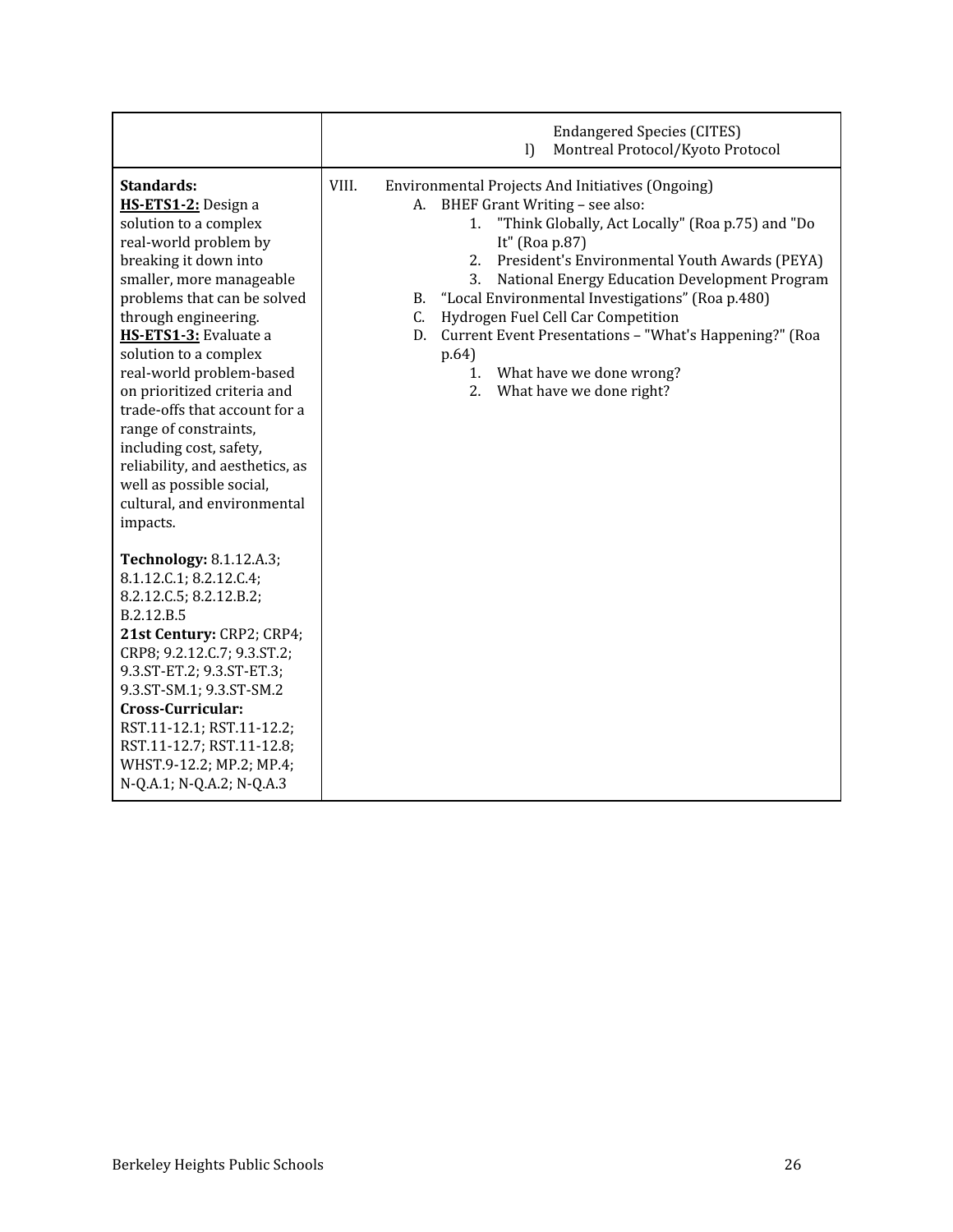|                                                                                                                                                                                                                                                                                                                                                                                                                                                                                                                    | <b>Endangered Species (CITES)</b><br>Montreal Protocol/Kyoto Protocol<br>$\mathbf{I}$                                                                                                                                                                                                                                                                                                                                                                                                                                                                 |
|--------------------------------------------------------------------------------------------------------------------------------------------------------------------------------------------------------------------------------------------------------------------------------------------------------------------------------------------------------------------------------------------------------------------------------------------------------------------------------------------------------------------|-------------------------------------------------------------------------------------------------------------------------------------------------------------------------------------------------------------------------------------------------------------------------------------------------------------------------------------------------------------------------------------------------------------------------------------------------------------------------------------------------------------------------------------------------------|
| <b>Standards:</b><br>HS-ETS1-2: Design a<br>solution to a complex<br>real-world problem by<br>breaking it down into<br>smaller, more manageable<br>problems that can be solved<br>through engineering.<br>HS-ETS1-3: Evaluate a<br>solution to a complex<br>real-world problem-based<br>on prioritized criteria and<br>trade-offs that account for a<br>range of constraints,<br>including cost, safety,<br>reliability, and aesthetics, as<br>well as possible social,<br>cultural, and environmental<br>impacts. | VIII.<br>Environmental Projects And Initiatives (Ongoing)<br>BHEF Grant Writing - see also:<br>А.<br>"Think Globally, Act Locally" (Roa p.75) and "Do<br>1.<br>It" (Roa p.87)<br>President's Environmental Youth Awards (PEYA)<br>2.<br>National Energy Education Development Program<br>3.<br>"Local Environmental Investigations" (Roa p.480)<br><b>B.</b><br>Hydrogen Fuel Cell Car Competition<br>C.<br>Current Event Presentations - "What's Happening?" (Roa<br>D.<br>p.64)<br>What have we done wrong?<br>1.<br>What have we done right?<br>2. |
| <b>Technology: 8.1.12.A.3;</b><br>8.1.12.C.1; 8.2.12.C.4;<br>8.2.12.C.5; 8.2.12.B.2;<br>B.2.12.B.5<br>21st Century: CRP2; CRP4;<br>CRP8; 9.2.12.C.7; 9.3.ST.2;<br>9.3.ST-ET.2; 9.3.ST-ET.3;<br>9.3.ST-SM.1; 9.3.ST-SM.2<br>Cross-Curricular:<br>RST.11-12.1; RST.11-12.2;<br>RST.11-12.7; RST.11-12.8;<br>WHST.9-12.2; MP.2; MP.4;<br>N-Q.A.1; N-Q.A.2; N-Q.A.3                                                                                                                                                    |                                                                                                                                                                                                                                                                                                                                                                                                                                                                                                                                                       |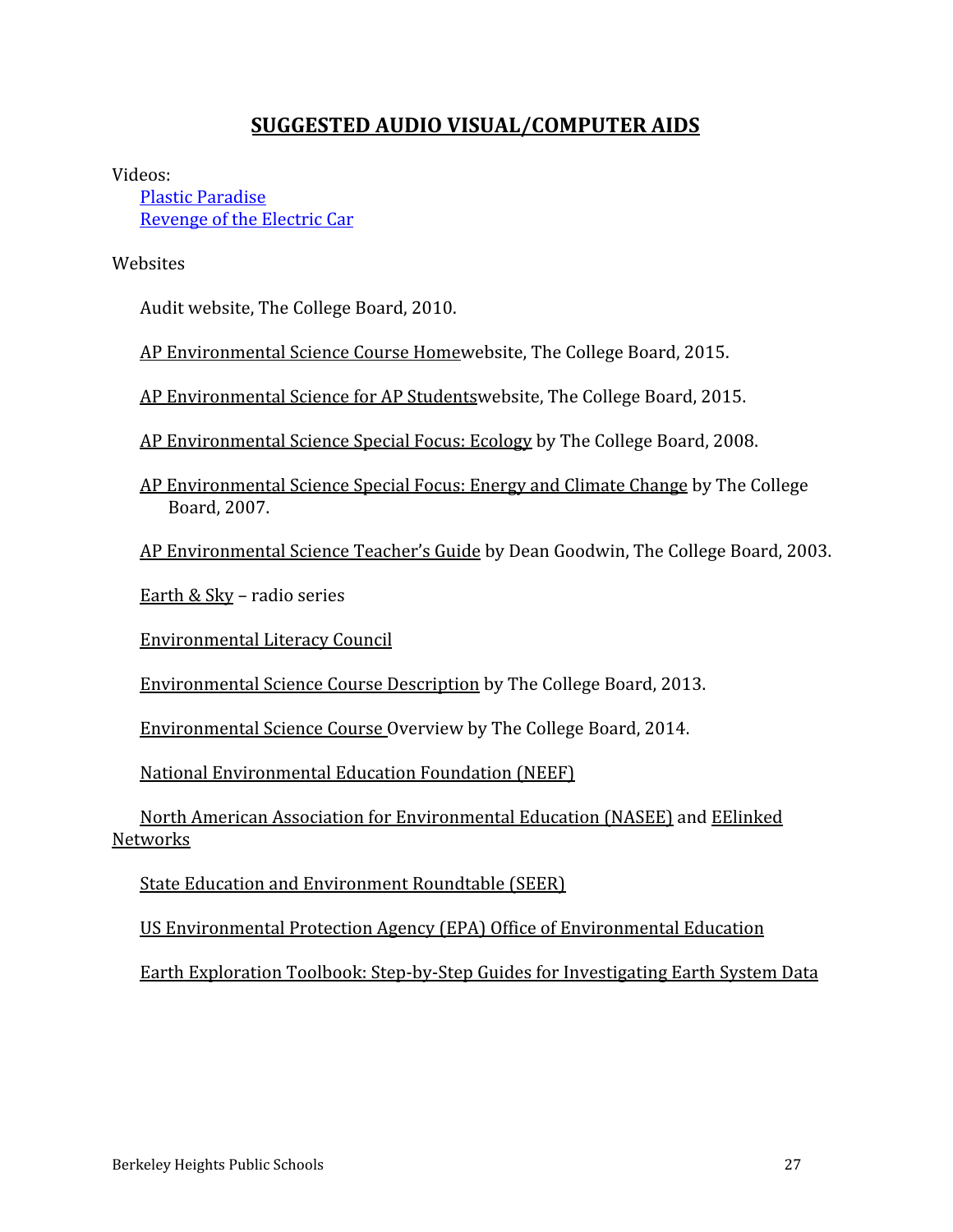# **SUGGESTED AUDIO VISUAL/COMPUTER AIDS**

Videos:

[Plastic Paradise](http://plasticparadisemovie.com/) [Revenge of the Electric Car](http://revengeoftheelectriccar.us2.list-manage.com/track/click?u=094f2b34316e08f2846844561&id=5554de954e&e=c550423f06)

**[W](http://revengeoftheelectriccar.us2.list-manage.com/track/click?u=094f2b34316e08f2846844561&id=5554de954e&e=c550423f06)ebsites** 

Audit website, The College Board, 2010.

[AP Environmental Science Course Home](http://apcentral.collegeboard.com/apc/public/courses/teachers_corner/2128.html)website, The College Board, 2015.

[AP Environmental Science for AP Studentsw](https://apstudent.collegeboard.org/apcourse/ap-environmental-science)ebsite, The College Board, 2015.

[AP Environmental Science Special Focus: Ecology](http://apcentral.collegeboard.com/apc/public/repository/Environmental_Science_Ecology_Special_Focus.pdf) by The College Board, 2008.

[AP Environmental Science Special Focus: Energy and Climate Change](http://apcentral.collegeboard.com/apc/public/repository/06_Environmental_Science_Special_Focus.pdf) by The College Board, 2007.

[AP Environmental Science Teacher's Guide](http://apcentral.collegeboard.com/apc/members/repository/ap07_envsci_teachersguide.pdf) by Dean Goodwin, The College Board, 2003.

[Earth & Sky](http://earthsky.org/) – radio series

[Environmental Literacy Council](http://enviroliteracy.org/)

[Environmental Science Course Description](http://media.collegeboard.com/digitalServices/pdf/ap/ap-environmental-science-course-description.pdf) by The College Board, 2013.

[Environmental Science Course Overview](http://media.collegeboard.com/digitalServices/pdf/ap/ap-course-overviews/ap-environmental-science-course-overview.pdf) by The College Board, 2014.

[National Environmental Education Foundation \(NEEF\)](http://www.neefusa.org/)

[North American Association for Environmental Education \(NASEE\)](http://www.naaee.org/) and [EElinked](https://eelinked.naaee.net/) [Networks](https://eelinked.naaee.net/)

[State Education and Environment Roundtable \(SEER\)](http://www.seer.org/)

[US Environmental Protection Agency \(EPA\) Office of Environmental Education](http://www2.epa.gov/education)

[Earth Exploration Toolbook: Step-by-Step Guides for Investigating Earth System Data](http://serc.carleton.edu/eet/index.html)